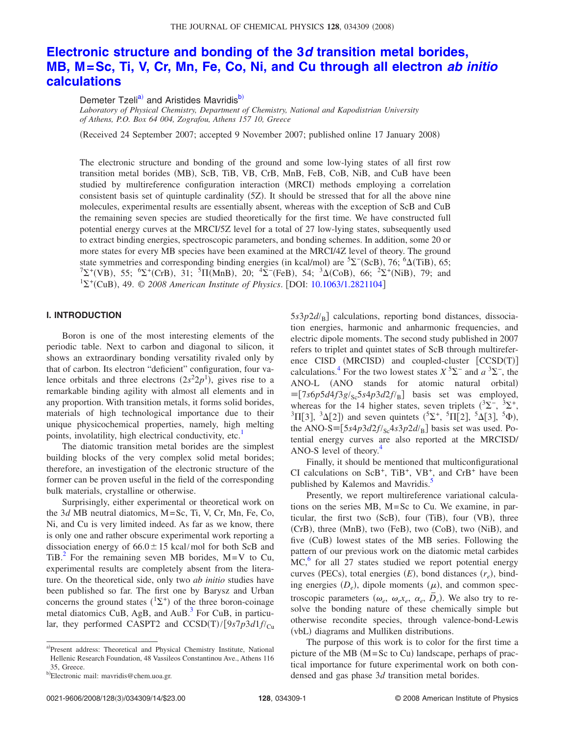# **[Electronic structure and bonding of the 3](http://dx.doi.org/10.1063/1.2821104)***d* **transition metal borides, [MB, M=Sc, Ti, V, Cr, Mn, Fe, Co, Ni, and Cu through all electron](http://dx.doi.org/10.1063/1.2821104)** *ab initio* **[calculations](http://dx.doi.org/10.1063/1.2821104)**

Demeter Tzeli<sup>a)</sup> and Aristides Mavridis<sup>b)</sup>

*Laboratory of Physical Chemistry, Department of Chemistry, National and Kapodistrian University of Athens, P.O. Box 64 004, Zografou, Athens 157 10, Greece*

(Received 24 September 2007; accepted 9 November 2007; published online 17 January 2008)

The electronic structure and bonding of the ground and some low-lying states of all first row transition metal borides (MB), ScB, TiB, VB, CrB, MnB, FeB, CoB, NiB, and CuB have been studied by multireference configuration interaction (MRCI) methods employing a correlation consistent basis set of quintuple cardinality (5Z). It should be stressed that for all the above nine molecules, experimental results are essentially absent, whereas with the exception of ScB and CuB the remaining seven species are studied theoretically for the first time. We have constructed full potential energy curves at the MRCI/5Z level for a total of 27 low-lying states, subsequently used to extract binding energies, spectroscopic parameters, and bonding schemes. In addition, some 20 or more states for every MB species have been examined at the MRCI/4Z level of theory. The ground state symmetries and corresponding binding energies (in kcal/mol) are  ${}^{5}\Sigma^{-}$ (ScB), 76;  ${}^{6}\Delta$ (TiB), 65;  ${}^{7}\Sigma^{+}({\rm VB})$ , 55;  ${}^{6}\Sigma^{+}({\rm CrB})$ , 31;  ${}^{5}\Pi({\rm MnB})$ , 20;  ${}^{4}\Sigma^{-}({\rm FeB})$ , 54;  ${}^{3}\Delta({\rm CoB})$ , 66;  ${}^{2}\Sigma^{+}({\rm NiB})$ , 79; and <sup>1</sup> $\Sigma^+$ (CuB), 49.  $\odot$  2008 American Institute of Physics. [DOI: [10.1063/1.2821104](http://dx.doi.org/10.1063/1.2821104)]

#### **I. INTRODUCTION**

Boron is one of the most interesting elements of the periodic table. Next to carbon and diagonal to silicon, it shows an extraordinary bonding versatility rivaled only by that of carbon. Its electron "deficient" configuration, four valence orbitals and three electrons  $(2s^22p^1)$ , gives rise to a remarkable binding agility with almost all elements and in any proportion. With transition metals, it forms solid borides, materials of high technological importance due to their unique physicochemical properties, namely, high melting points, involatility, high electrical conductivity, etc.<sup>1</sup>

The diatomic transition metal borides are the simplest building blocks of the very complex solid metal borides; therefore, an investigation of the electronic structure of the former can be proven useful in the field of the corresponding bulk materials, crystalline or otherwise.

Surprisingly, either experimental or theoretical work on the 3*d* MB neutral diatomics, M=Sc, Ti, V, Cr, Mn, Fe, Co, Ni, and Cu is very limited indeed. As far as we know, there is only one and rather obscure experimental work reporting a dissociation energy of  $66.0 \pm 15$  kcal/mol for both ScB and TiB.<sup>[2](#page-13-1)</sup> For the remaining seven MB borides,  $M=V$  to Cu, experimental results are completely absent from the literature. On the theoretical side, only two *ab initio* studies have been published so far. The first one by Barysz and Urban concerns the ground states  $({}^{1}\Sigma^{+})$  of the three boron-coinage metal diatomics CuB, AgB, and  $A$ uB. $<sup>3</sup>$  For CuB, in particu-</sup> lar, they performed CASPT2 and CCSD(T)/ $[9s7p3d1f/c<sub>u</sub>]$ 

5s3p2d/<sub>B</sub>] calculations, reporting bond distances, dissociation energies, harmonic and anharmonic frequencies, and electric dipole moments. The second study published in 2007 refers to triplet and quintet states of ScB through multireference  $CISD$  (MRCISD) and coupled-cluster  $[CCSD(T)]$ calculations.<sup>4</sup> For the two lowest states  $X^5\Sigma^-$  and  $a^3\Sigma^-$ , the ANO-L (ANO stands for atomic natural orbital)  $\equiv$   $[7s6p5d4f3g/sc5s4p3d2f/s]$  basis set was employed, whereas for the 14 higher states, seven triplets  $({}^{3}\Sigma^{-}, {}^{3}\Sigma^{+}, {}^{3}\Sigma^{-})$  ${}^{3}\Pi[3], {}^{3}\Delta[2]$  and seven quintets  $({}^{5}\Sigma^{+}, {}^{5}\Pi[2], {}^{5}\Delta[3], {}^{5}\Phi)$ , the ANO-S $\equiv$ [5*s*4*p*3*d*2*f*/<sub>Sc</sub>4*s*3*p*2*d*/<sub>B</sub>] basis set was used. Potential energy curves are also reported at the MRCISD/ ANO-S level of theory[.4](#page-13-3)

Finally, it should be mentioned that multiconfigurational CI calculations on  $ScB^+$ ,  $TiB^+$ ,  $VB^+$ , and  $CrB^+$  have been published by Kalemos and Mavridis.<sup>5</sup>

Presently, we report multireference variational calculations on the series MB, M=Sc to Cu. We examine, in particular, the first two (ScB), four (TiB), four (VB), three (CrB), three (MnB), two (FeB), two (CoB), two (NiB), and five (CuB) lowest states of the MB series. Following the pattern of our previous work on the diatomic metal carbides  $MC$ , for all 27 states studied we report potential energy curves (PECs), total energies  $(E)$ , bond distances  $(r_e)$ , binding energies  $(D_e)$ , dipole moments  $(\mu)$ , and common spectroscopic parameters  $(\omega_e, \omega_e x_e, \overline{\omega}_e)$ . We also try to resolve the bonding nature of these chemically simple but otherwise recondite species, through valence-bond-Lewis (vbL) diagrams and Mulliken distributions.

The purpose of this work is to color for the first time a picture of the MB  $(M = Sc$  to Cu) landscape, perhaps of practical importance for future experimental work on both condensed and gas phase 3*d* transition metal borides.

<span id="page-0-0"></span>a)Present address: Theoretical and Physical Chemistry Institute, National Hellenic Research Foundation, 48 Vassileos Constantinou Ave., Athens 116 35, Greece.

<span id="page-0-1"></span><sup>&</sup>lt;sup>b)</sup>Electronic mail: mavridis@chem.uoa.gr.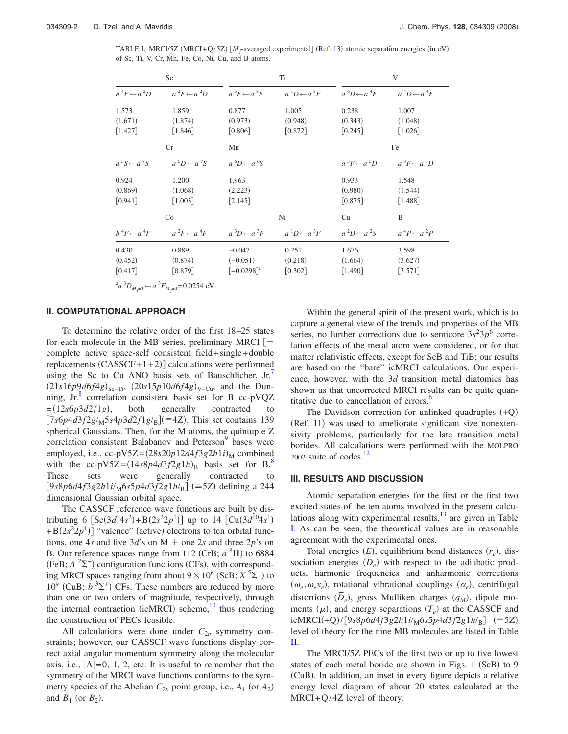<span id="page-1-0"></span>TABLE I. MRCI/5Z (MRCI+Q/5Z)  $[M_j$ -averaged experimental] (Ref. [13](#page-13-12)) atomic separation energies (in eV) of Sc, Ti, V, Cr, Mn, Fe, Co, Ni, Cu, and B atoms.

|                            |                        | V                      |  |  |  |
|----------------------------|------------------------|------------------------|--|--|--|
| $a^1D \leftarrow a^3F$     | $a^6D \leftarrow a^4F$ | $a^4D \leftarrow a^4F$ |  |  |  |
| 1.005                      | 0.238                  | 1.007                  |  |  |  |
| (0.948)                    | (0.343)                | (1.048)                |  |  |  |
| [0.872]                    | $[0.245]$              | $\lceil 1.026 \rceil$  |  |  |  |
|                            |                        | Fe                     |  |  |  |
|                            | $a^5F \leftarrow a^5D$ | $a^3F \leftarrow a^5D$ |  |  |  |
|                            | 0.933                  | 1.548                  |  |  |  |
|                            | (0.980)                | (1.544)                |  |  |  |
|                            | $[0.875]$              | [1.488]                |  |  |  |
| Ni                         | Cu                     | B                      |  |  |  |
| $a^{1}D \leftarrow a^{3}F$ | $a^2D \leftarrow a^2S$ | $a^4P \leftarrow a^2P$ |  |  |  |
| 0.251                      | 1.676                  | 3.598                  |  |  |  |
| (0.218)                    | (1.664)                | (3.627)                |  |  |  |
| [0.302]                    | [1.490]                | [3.571]                |  |  |  |
|                            |                        |                        |  |  |  |

 $^{\text{a}}a^{3}D_{M_{f}=3} \leftarrow a^{3}F_{M_{f}=4} = 0.0254 \text{ eV}.$ 

## **II. COMPUTATIONAL APPROACH**

To determine the relative order of the first 18–25 states for each molecule in the MB series, preliminary MRCI  $\vert =$ complete active space-self consistent field+ single+ double replacements  $(CASSCF+1+2)$ ] calculations were performed using the Sc to Cu ANO basis sets of Bauschlicher,  $Jr'$ .  $(21s16p9d6f4g)_{Sc-Ti}$ ,  $(20s15p10d6f4g)_{V-Cu}$ , and the Dunning, Jr. $8$  correlation consistent basis set for B cc-pVQZ  $=(12s6p3d2f1g)$ , , both generally contracted to  $[7s6p4d3f2g/M5s4p3d2f1g/B](\equiv 4Z)$ . This set contains 139 spherical Gaussians. Then, for the M atoms, the quintuple Z correlation consistent Balabanov and Peterson<sup>9</sup> bases were employed, i.e., cc-pV5Z= $(28s20p12d4f3g2h1i)_{\text{M}}$  combined with the cc-pV5Z= $(14s8p4d3f2g1h)_{\text{B}}$  basis set for B.<sup>8</sup> These sets were generally contracted to  $[9s8p6d4f3g2h1i/\text{M}6s5p4d3f2g1h/\text{B}$  (=5Z) defining a 244 dimensional Gaussian orbital space.

The CASSCF reference wave functions are built by distributing 6  $[Sc(3d<sup>1</sup>4s<sup>2</sup>) + B(2s<sup>2</sup>2p<sup>1</sup>)]$  up to 14  $[Cu(3d<sup>10</sup>4s<sup>1</sup>)$  $+ B(2s^22p^1)$ ] "valence" (active) electrons to ten orbital functions, one 4*s* and five  $3d$ 's on M + one 2*s* and three 2*p*'s on B. Our reference spaces range from  $112$  (CrB;  $a$ <sup>8</sup> $\Pi$ ) to 6884  $(FeB; A^2\Sigma^-)$  configuration functions (CFs), with corresponding MRCI spaces ranging from about  $9 \times 10^6$  (ScB;  $X^5\Sigma^-$ ) to  $10^9$  (CuB;  $b^3\Sigma^+$ ) CFs. These numbers are reduced by more than one or two orders of magnitude, respectively, through the internal contraction (icMRCI) scheme,<sup>10</sup> thus rendering the construction of PECs feasible.

All calculations were done under  $C_{2v}$  symmetry constraints; however, our CASSCF wave functions display correct axial angular momentum symmetry along the molecular axis, i.e.,  $|\Lambda|$ =0, 1, 2, etc. It is useful to remember that the symmetry of the MRCI wave functions conforms to the symmetry species of the Abelian  $C_{2v}$  point group, i.e.,  $A_1$  (or  $A_2$ ) and  $B_1$  (or  $B_2$ ).

Within the general spirit of the present work, which is to capture a general view of the trends and properties of the MB series, no further corrections due to semicore  $3s^23p^6$  correlation effects of the metal atom were considered, or for that matter relativistic effects, except for ScB and TiB; our results are based on the "bare" icMRCI calculations. Our experience, however, with the 3*d* transition metal diatomics has shown us that uncorrected MRCI results can be quite quantitative due to cancellation of errors.<sup>6</sup>

The Davidson correction for unlinked quadruples  $(+Q)$  $(Ref. 11)$  $(Ref. 11)$  $(Ref. 11)$  was used to ameliorate significant size nonextensivity problems, particularly for the late transition metal borides. All calculations were performed with the MOLPRO 2002 suite of codes. $12$ 

#### **III. RESULTS AND DISCUSSION**

Atomic separation energies for the first or the first two excited states of the ten atoms involved in the present calculations along with experimental results, $^{13}$  are given in Table [I.](#page-1-0) As can be seen, the theoretical values are in reasonable agreement with the experimental ones.

Total energies  $(E)$ , equilibrium bond distances  $(r_e)$ , dissociation energies  $(D_e)$  with respect to the adiabatic products, harmonic frequencies and anharmonic corrections  $(\omega_e, \omega_e x_e)$ , rotational vibrational couplings  $(\alpha_e)$ , centrifugal distortions  $(\bar{D}_e)$ , gross Mulliken charges  $(q_M)$ , dipole moments  $(\mu)$ , and energy separations  $(T_e)$  at the CASSCF and  $i$ **cMRCI**(+Q)/[9*s*8*p*6*d*4*f*3*g*2*h*1*i*/<sub>M</sub>6*s*5*p*4*d*3*f*2*g*1*h*/<sub>B</sub>] (=5Z) level of theory for the nine MB molecules are listed in Table [II.](#page-2-0)

The MRCI/5Z PECs of the first two or up to five lowest states of each metal boride are shown in Figs. [1](#page-4-0) (ScB) to 9 (CuB). In addition, an inset in every figure depicts a relative energy level diagram of about 20 states calculated at the MRCI+Q/4Z level of theory.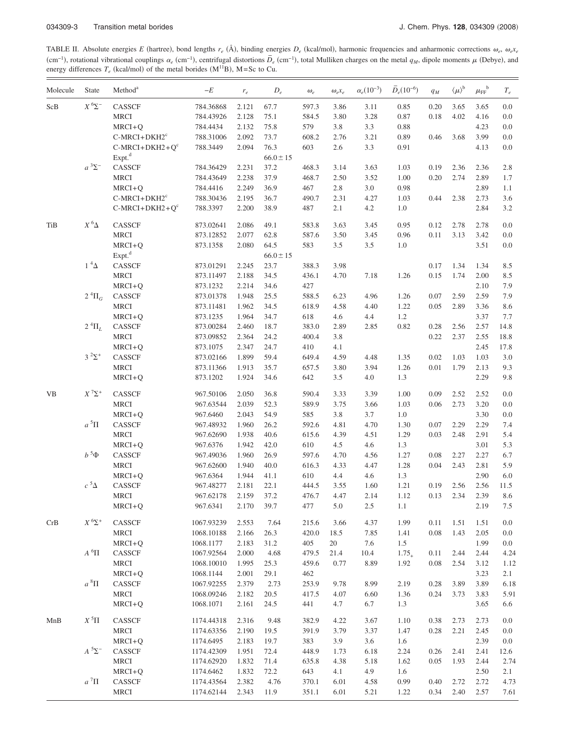<span id="page-2-0"></span>TABLE II. Absolute energies *E* (hartree), bond lengths  $r_e$  (Å), binding energies  $D_e$  (kcal/mol), harmonic frequencies and anharmonic corrections  $\omega_e$ ,  $\omega_e x_e$  $c_{e}$  cm−1, centrifugal distortions  $\overline{D}_{e}$  (cm<sup>-1</sup>), total Mulliken charges on the metal *q<sub>M</sub>*, dipole moments  $\mu$  (Debye), and (Debye), and energy differences  $T_e$  (kcal/mol) of the metal borides  $(M<sup>11</sup>B)$ , M=Sc to Cu.

| Molecule | State             | Method <sup>a</sup> | $-E$       | $r_{e}$ | $D_e\,$       | $\omega_e$ | $\omega_{e}x_{e}$ | $\alpha_e(10^{-3})$ | $\bar{D}_e(10^{-6})$ | $q_{\mathcal{M}}$ | $\langle \mu \rangle^{\mathrm{b}}$ | $\mu_{\text{FF}}^{\phantom{\text{b}}\text{b}}$ | $T_{e}% ^{r}=\mathbb{E}_{\varepsilon}(r_{0})\oplus\mathbb{E}_{\varepsilon}(r_{0})$ |
|----------|-------------------|---------------------|------------|---------|---------------|------------|-------------------|---------------------|----------------------|-------------------|------------------------------------|------------------------------------------------|------------------------------------------------------------------------------------|
| $ScB$    | $X^6\Sigma^-$     | CASSCF              | 784.36868  | 2.121   | 67.7          | 597.3      | 3.86              | 3.11                | 0.85                 | 0.20              | 3.65                               | 3.65                                           | 0.0                                                                                |
|          |                   | <b>MRCI</b>         | 784.43926  | 2.128   | 75.1          | 584.5      | 3.80              | 3.28                | 0.87                 | 0.18              | 4.02                               | 4.16                                           | 0.0                                                                                |
|          |                   | $MRCI+Q$            | 784.4434   | 2.132   | 75.8          | 579        | 3.8               | 3.3                 | 0.88                 |                   |                                    | 4.23                                           | 0.0                                                                                |
|          |                   | $C-MRCI+DKH2c$      | 788.31006  | 2.092   | 73.7          | 608.2      | 2.76              | 3.21                | 0.89                 | 0.46              | 3.68                               | 3.99                                           | 0.0                                                                                |
|          |                   | $C-MRCI+DKH2+Oc$    | 788.3449   | 2.094   | 76.3          | 603        | 2.6               | 3.3                 | 0.91                 |                   |                                    | 4.13                                           | 0.0                                                                                |
|          |                   | Expt. <sup>d</sup>  |            |         | $66.0 \pm 15$ |            |                   |                     |                      |                   |                                    |                                                |                                                                                    |
|          | $a^3\Sigma^-$     | CASSCF              | 784.36429  | 2.231   | 37.2          | 468.3      | 3.14              | 3.63                | 1.03                 | 0.19              | 2.36                               | 2.36                                           | 2.8                                                                                |
|          |                   | <b>MRCI</b>         | 784.43649  | 2.238   | 37.9          | 468.7      | 2.50              | 3.52                | 1.00                 | 0.20              | 2.74                               | 2.89                                           | 1.7                                                                                |
|          |                   | $MRCI+Q$            | 784.4416   | 2.249   | 36.9          | 467        | 2.8               | 3.0                 | 0.98                 |                   |                                    | 2.89                                           | 1.1                                                                                |
|          |                   | $C-MRCI+DKH2c$      | 788.30436  | 2.195   | 36.7          | 490.7      | 2.31              | 4.27                | 1.03                 | 0.44              | 2.38                               | 2.73                                           | 3.6                                                                                |
|          |                   | $C-MRCI+DKH2+Qc$    | 788.3397   | 2.200   | 38.9          | 487        | 2.1               | 4.2                 | 1.0                  |                   |                                    | 2.84                                           | 3.2                                                                                |
| TiB      | $X^6\Delta$       | CASSCF              | 873.02641  | 2.086   | 49.1          | 583.8      | 3.63              | 3.45                | 0.95                 | 0.12              | 2.78                               | 2.78                                           | 0.0                                                                                |
|          |                   | <b>MRCI</b>         | 873.12852  | 2.077   | 62.8          | 587.6      | 3.50              | 3.45                | 0.96                 | 0.11              | 3.13                               | 3.42                                           | 0.0                                                                                |
|          |                   | $MRCI + Q$          | 873.1358   | 2.080   | 64.5          | 583        | 3.5               | 3.5                 | 1.0                  |                   |                                    | 3.51                                           | 0.0                                                                                |
|          |                   | Expt. <sup>d</sup>  |            |         | $66.0 \pm 15$ |            |                   |                     |                      |                   |                                    |                                                |                                                                                    |
|          | $1~^4\Delta$      | CASSCF              | 873.01291  | 2.245   | 23.7          | 388.3      | 3.98              |                     |                      | 0.17              | 1.34                               | 1.34                                           | 8.5                                                                                |
|          |                   | MRCI                | 873.11497  | 2.188   | 34.5          | 436.1      | 4.70              | 7.18                | 1.26                 | 0.15              | 1.74                               | 2.00                                           | 8.5                                                                                |
|          |                   | $MRCI+Q$            | 873.1232   | 2.214   | 34.6          | 427        |                   |                     |                      |                   |                                    | 2.10                                           | 7.9                                                                                |
|          | $2 \ ^4\Pi_G$     | CASSCF              | 873.01378  | 1.948   | 25.5          | 588.5      | 6.23              | 4.96                | 1.26                 | 0.07              | 2.59                               | 2.59                                           | 7.9                                                                                |
|          |                   | <b>MRCI</b>         | 873.11481  | 1.962   | 34.5          | 618.9      | 4.58              | 4.40                | 1.22                 | 0.05              | 2.89                               | 3.36                                           | 8.6                                                                                |
|          |                   | $MRCI+Q$            | 873.1235   | 1.964   | 34.7          | 618        | 4.6               | 4.4                 | 1.2                  |                   |                                    | 3.37                                           | 7.7                                                                                |
|          | $2 \, {}^4\Pi_L$  | CASSCF              | 873.00284  | 2.460   | 18.7          | 383.0      | 2.89              | 2.85                | 0.82                 | 0.28              | 2.56                               | 2.57                                           | 14.8                                                                               |
|          |                   | <b>MRCI</b>         | 873.09852  | 2.364   | 24.2          | 400.4      | 3.8               |                     |                      | 0.22              | 2.37                               | 2.55                                           | 18.8                                                                               |
|          |                   | $MRCI+Q$            | 873.1075   | 2.347   | 24.7          | 410        | 4.1               |                     |                      |                   |                                    | 2.45                                           | 17.8                                                                               |
|          | $3^{2}\Sigma^{+}$ | CASSCF              | 873.02166  | 1.899   | 59.4          | 649.4      | 4.59              | 4.48                | 1.35                 | 0.02              | 1.03                               | 1.03                                           | 3.0                                                                                |
|          |                   | <b>MRCI</b>         | 873.11366  | 1.913   | 35.7          | 657.5      | 3.80              | 3.94                | 1.26                 | 0.01              | 1.79                               | 2.13                                           | 9.3                                                                                |
|          |                   | $MRCI+Q$            | 873.1202   | 1.924   | 34.6          | 642        | 3.5               | 4.0                 | 1.3                  |                   |                                    | 2.29                                           | 9.8                                                                                |
| VB       | $X^7\Sigma^+$     | CASSCF              | 967.50106  | 2.050   | 36.8          | 590.4      | 3.33              | 3.39                | 1.00                 | 0.09              | 2.52                               | 2.52                                           | 0.0                                                                                |
|          |                   | <b>MRCI</b>         | 967.63544  | 2.039   | 52.3          | 589.9      | 3.75              | 3.66                | 1.03                 | 0.06              | 2.73                               | 3.20                                           | 0.0                                                                                |
|          |                   | $MRCI+Q$            | 967.6460   | 2.043   | 54.9          | 585        | 3.8               | 3.7                 | 1.0                  |                   |                                    | 3.30                                           | 0.0                                                                                |
|          | $a^5\Pi$          | CASSCF              | 967.48932  | 1.960   | 26.2          | 592.6      | 4.81              | 4.70                | 1.30                 | 0.07              | 2.29                               | 2.29                                           | 7.4                                                                                |
|          |                   | <b>MRCI</b>         | 967.62690  | 1.938   | 40.6          | 615.6      | 4.39              | 4.51                | 1.29                 | 0.03              | 2.48                               | 2.91                                           | 5.4                                                                                |
|          |                   | $MRCI+Q$            | 967.6376   | 1.942   | 42.0          | 610        | 4.5               | 4.6                 | 1.3                  |                   |                                    | 3.01                                           | 5.3                                                                                |
|          | $b^5\Phi$         | CASSCF              | 967.49036  | 1.960   | 26.9          | 597.6      | 4.70              | 4.56                | 1.27                 | 0.08              | 2.27                               | 2.27                                           | 6.7                                                                                |
|          |                   | <b>MRCI</b>         | 967.62600  | 1.940   | 40.0          | 616.3      | 4.33              | 4.47                | 1.28                 | 0.04              | 2.43                               | 2.81                                           | 5.9                                                                                |
|          |                   | $MRCI+Q$            | 967.6364   | 1.944   | 41.1          | 610        | 4.4               | 4.6                 | 1.3                  |                   |                                    | 2.90                                           | 6.0                                                                                |
|          | $c^{5}$ $\Delta$  | CASSCF              | 967.48277  | 2.181   | 22.1          | 444.5      | 3.55              | 1.60                | 1.21                 | 0.19              | 2.56                               | 2.56                                           | 11.5                                                                               |
|          |                   | MRCI                | 967.62178  | 2.159   | 37.2          | 476.7      | 4.47              | 2.14                | 1.12                 | 0.13              | 2.34                               | 2.39                                           | 8.6                                                                                |
|          |                   | $MRCI+Q$            | 967.6341   | 2.170   | 39.7          | 477        | 5.0               | 2.5                 | 1.1                  |                   |                                    | 2.19                                           | 7.5                                                                                |
| CrB      | $X$ $^6\Sigma^+$  | CASSCF              | 1067.93239 | 2.553   | 7.64          | 215.6      | 3.66              | 4.37                | 1.99                 | 0.11              | 1.51                               | 1.51                                           | 0.0                                                                                |
|          |                   | <b>MRCI</b>         | 1068.10188 | 2.166   | 26.3          | 420.0      | 18.5              | 7.85                | 1.41                 | 0.08              | 1.43                               | 2.05                                           | 0.0                                                                                |
|          |                   | $MRCI+Q$            | 1068.1177  | 2.183   | 31.2          | 405        | 20                | 7.6                 | 1.5                  |                   |                                    | 1.99                                           | 0.0                                                                                |
|          | $A^6\Pi$          | CASSCF              | 1067.92564 | 2.000   | 4.68          | 479.5      | 21.4              | 10.4                | $1.75_{+}$           | 0.11              | 2.44                               | 2.44                                           | 4.24                                                                               |
|          |                   | <b>MRCI</b>         | 1068.10010 | 1.995   | 25.3          | 459.6      | 0.77              | 8.89                | 1.92                 | 0.08              | 2.54                               | 3.12                                           | 1.12                                                                               |
|          |                   | $MRCI+Q$            | 1068.1144  | 2.001   | 29.1          | 462        |                   |                     |                      |                   |                                    | 3.23                                           | 2.1                                                                                |
|          | $a^8\Pi$          | CASSCF              | 1067.92255 | 2.379   | 2.73          | 253.9      | 9.78              | 8.99                | 2.19                 | 0.28              | 3.89                               | 3.89                                           | 6.18                                                                               |
|          |                   | MRCI                | 1068.09246 | 2.182   | 20.5          | 417.5      | 4.07              | 6.60                | 1.36                 | 0.24              | 3.73                               | 3.83                                           | 5.91                                                                               |
|          |                   | $MRCI+Q$            | 1068.1071  | 2.161   | 24.5          | 441        | 4.7               | 6.7                 | 1.3                  |                   |                                    | 3.65                                           | 6.6                                                                                |
| MnB      | $X^5\Pi$          | CASSCF              | 1174.44318 | 2.316   | 9.48          | 382.9      | 4.22              | 3.67                | 1.10                 | 0.38              | 2.73                               | 2.73                                           | 0.0                                                                                |
|          |                   | <b>MRCI</b>         | 1174.63356 | 2.190   | 19.5          | 391.9      | 3.79              | 3.37                | 1.47                 | 0.28              | 2.21                               | 2.45                                           | 0.0                                                                                |
|          |                   | $MRCI+Q$            | 1174.6495  | 2.183   | 19.7          | 383        | 3.9               | 3.6                 | 1.6                  |                   |                                    | 2.39                                           | 0.0                                                                                |
|          | $A^{5\Sigma^-}$   | CASSCF              | 1174.42309 | 1.951   | 72.4          | 448.9      | 1.73              | 6.18                | 2.24                 | 0.26              | 2.41                               | 2.41                                           | 12.6                                                                               |
|          |                   | <b>MRCI</b>         | 1174.62920 | 1.832   | 71.4          | 635.8      | 4.38              | 5.18                | 1.62                 | 0.05              | 1.93                               | 2.44                                           | 2.74                                                                               |
|          |                   | $MRCI+Q$            | 1174.6462  | 1.832   | 72.2          | 643        | 4.1               | 4.9                 | 1.6                  |                   |                                    | 2.50                                           | 2.1                                                                                |
|          | $a^7\Pi$          | CASSCF              | 1174.43564 | 2.382   | 4.76          | 370.1      | 6.01              | 4.58                | 0.99                 | 0.40              | 2.72                               | 2.72                                           | 4.73                                                                               |
|          |                   | MRCI                | 1174.62144 | 2.343   | 11.9          | 351.1      | 6.01              | 5.21                | 1.22                 | 0.34              | 2.40                               | 2.57                                           | 7.61                                                                               |
|          |                   |                     |            |         |               |            |                   |                     |                      |                   |                                    |                                                |                                                                                    |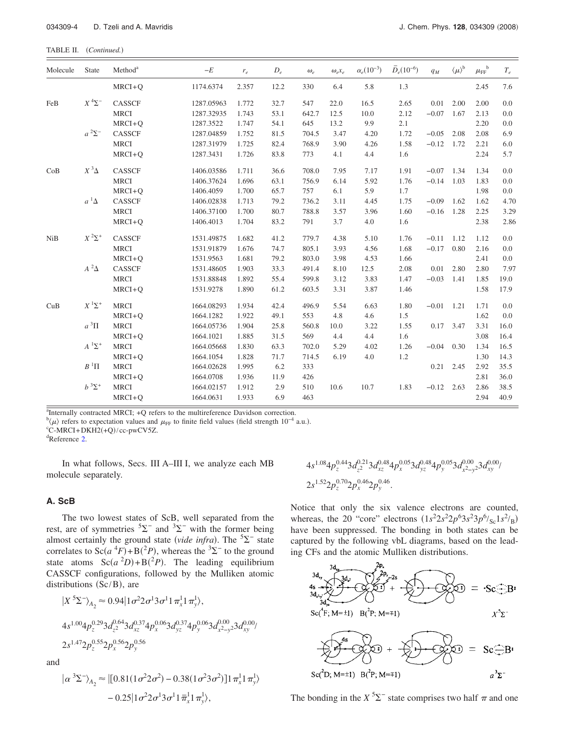| Molecule             | State                                  | Method <sup>a</sup> | $-E$       | $r_e\,$ | $D_e$ | $\omega_e$ | $\omega_e x_e$ | $\alpha_e(10^{-3})$ | $\bar{D}_e(10^{-6})$ | $q_M$   | $\langle \mu \rangle^b$ | $\mu_{\text{FF}}^{\phantom{\text{b}}\text{b}}$ | $T_e\,$ |
|----------------------|----------------------------------------|---------------------|------------|---------|-------|------------|----------------|---------------------|----------------------|---------|-------------------------|------------------------------------------------|---------|
|                      |                                        | $MRCI+Q$            | 1174.6374  | 2.357   | 12.2  | 330        | 6.4            | 5.8                 | 1.3                  |         |                         | 2.45                                           | 7.6     |
| FeB<br>$a^2\Sigma^-$ | $X^4\Sigma^-$                          | <b>CASSCF</b>       | 1287.05963 | 1.772   | 32.7  | 547        | 22.0           | 16.5                | 2.65                 | 0.01    | 2.00                    | 2.00                                           | 0.0     |
|                      |                                        | <b>MRCI</b>         | 1287.32935 | 1.743   | 53.1  | 642.7      | 12.5           | 10.0                | 2.12                 | $-0.07$ | 1.67                    | 2.13                                           | 0.0     |
|                      |                                        | $MRCI + O$          | 1287.3522  | 1.747   | 54.1  | 645        | 13.2           | 9.9                 | 2.1                  |         |                         | 2.20                                           | 0.0     |
|                      |                                        | <b>CASSCF</b>       | 1287.04859 | 1.752   | 81.5  | 704.5      | 3.47           | 4.20                | 1.72                 | $-0.05$ | 2.08                    | 2.08                                           | 6.9     |
|                      |                                        | <b>MRCI</b>         | 1287.31979 | 1.725   | 82.4  | 768.9      | 3.90           | 4.26                | 1.58                 | $-0.12$ | 1.72                    | 2.21                                           | 6.0     |
|                      |                                        | $MRCI + Q$          | 1287.3431  | 1.726   | 83.8  | 773        | 4.1            | 4.4                 | 1.6                  |         |                         | 2.24                                           | 5.7     |
| CoB                  | $X^3\Delta$                            | CASSCF              | 1406.03586 | 1.711   | 36.6  | 708.0      | 7.95           | 7.17                | 1.91                 | $-0.07$ | 1.34                    | 1.34                                           | 0.0     |
|                      |                                        | <b>MRCI</b>         | 1406.37624 | 1.696   | 63.1  | 756.9      | 6.14           | 5.92                | 1.76                 | $-0.14$ | 1.03                    | 1.83                                           | 0.0     |
|                      |                                        | $MRCI + Q$          | 1406.4059  | 1.700   | 65.7  | 757        | 6.1            | 5.9                 | 1.7                  |         |                         | 1.98                                           | 0.0     |
|                      | $a^1\Delta$                            | <b>CASSCF</b>       | 1406.02838 | 1.713   | 79.2  | 736.2      | 3.11           | 4.45                | 1.75                 | $-0.09$ | 1.62                    | 1.62                                           | 4.70    |
|                      |                                        | <b>MRCI</b>         | 1406.37100 | 1.700   | 80.7  | 788.8      | 3.57           | 3.96                | 1.60                 | $-0.16$ | 1.28                    | 2.25                                           | 3.29    |
|                      |                                        | $MRCI+Q$            | 1406.4013  | 1.704   | 83.2  | 791        | 3.7            | 4.0                 | 1.6                  |         |                         | 2.38                                           | 2.86    |
| NiB                  | $X^2\Sigma^+$                          | CASSCF              | 1531.49875 | 1.682   | 41.2  | 779.7      | 4.38           | 5.10                | 1.76                 | $-0.11$ | 1.12                    | 1.12                                           | 0.0     |
|                      |                                        | <b>MRCI</b>         | 1531.91879 | 1.676   | 74.7  | 805.1      | 3.93           | 4.56                | 1.68                 | $-0.17$ | 0.80                    | 2.16                                           | 0.0     |
|                      |                                        | $MRCI + O$          | 1531.9563  | 1.681   | 79.2  | 803.0      | 3.98           | 4.53                | 1.66                 |         |                         | 2.41                                           | 0.0     |
|                      | $A^2\Delta$                            | <b>CASSCF</b>       | 1531.48605 | 1.903   | 33.3  | 491.4      | 8.10           | 12.5                | 2.08                 | 0.01    | 2.80                    | 2.80                                           | 7.97    |
|                      |                                        | <b>MRCI</b>         | 1531.88848 | 1.892   | 55.4  | 599.8      | 3.12           | 3.83                | 1.47                 | $-0.03$ | 1.41                    | 1.85                                           | 19.0    |
|                      |                                        | $MRCI + Q$          | 1531.9278  | 1.890   | 61.2  | 603.5      | 3.31           | 3.87                | 1.46                 |         |                         | 1.58                                           | 17.9    |
| CuB                  | $X$ <sup>1</sup> $\Sigma$ <sup>+</sup> | <b>MRCI</b>         | 1664.08293 | 1.934   | 42.4  | 496.9      | 5.54           | 6.63                | 1.80                 | $-0.01$ | 1.21                    | 1.71                                           | 0.0     |
|                      |                                        | $MRCI + Q$          | 1664.1282  | 1.922   | 49.1  | 553        | 4.8            | 4.6                 | 1.5                  |         |                         | 1.62                                           | 0.0     |
|                      | $a^3\Pi$                               | <b>MRCI</b>         | 1664.05736 | 1.904   | 25.8  | 560.8      | 10.0           | 3.22                | 1.55                 | 0.17    | 3.47                    | 3.31                                           | 16.0    |
|                      |                                        | $MRCI + Q$          | 1664.1021  | 1.885   | 31.5  | 569        | 4.4            | 4.4                 | 1.6                  |         |                         | 3.08                                           | 16.4    |
|                      | $A^1\Sigma^+$                          | <b>MRCI</b>         | 1664.05668 | 1.830   | 63.3  | 702.0      | 5.29           | 4.02                | 1.26                 | $-0.04$ | 0.30                    | 1.34                                           | 16.5    |
|                      |                                        | $MRCI + Q$          | 1664.1054  | 1.828   | 71.7  | 714.5      | 6.19           | 4.0                 | 1.2                  |         |                         | 1.30                                           | 14.3    |
|                      | $B^1\Pi$                               | <b>MRCI</b>         | 1664.02628 | 1.995   | 6.2   | 333        |                |                     |                      | 0.21    | 2.45                    | 2.92                                           | 35.5    |
|                      |                                        | $MRCI+Q$            | 1664.0708  | 1.936   | 11.9  | 426        |                |                     |                      |         |                         | 2.81                                           | 36.0    |
|                      | $b^3\Sigma^+$                          | <b>MRCI</b>         | 1664.02157 | 1.912   | 2.9   | 510        | 10.6           | 10.7                | 1.83                 | $-0.12$ | 2.63                    | 2.86                                           | 38.5    |
|                      |                                        | $MRCI+Q$            | 1664.0631  | 1.933   | 6.9   | 463        |                |                     |                      |         |                         | 2.94                                           | 40.9    |

<sup>a</sup>Internally contracted MRCI; +Q refers to the multireference Davidson correction.

 $b(\mu)$  refers to expectation values and  $\mu$ <sub>FF</sub> to finite field values (field strength 10<sup>−4</sup> a.u.).

<sup>c</sup>C-MRCI+DKH2(+Q)/cc-pwCV5Z.

Reference [2.](#page-13-1)

In what follows, Secs. III A–III I, we analyze each MB molecule separately.

## **A. ScB**

The two lowest states of ScB, well separated from the rest, are of symmetries  ${}^{5}\Sigma^{-}$  and  ${}^{3}\Sigma^{-}$  with the former being almost certainly the ground state *(vide infra)*. The  ${}^{5}\Sigma^{-}$  state correlates to  $Sc(a^4F) + B(^2P)$ , whereas the <sup>3</sup> $\Sigma^-$  to the ground state atoms  $Sc(a^2D) + B(^2P)$ . The leading equilibrium CASSCF configurations, followed by the Mulliken atomic distributions  $(Sc/B)$ , are

$$
|X^{5}\Sigma^{-}\rangle_{A_{2}} \approx 0.94|1\sigma^{2}2\sigma^{1}3\sigma^{1}1\pi_{x}^{1}1\pi_{y}^{1}\rangle,
$$
  
\n
$$
4s^{1.00}4p_{z}^{0.29}3d_{z^{2}}^{0.64}3d_{xz}^{0.37}4p_{x}^{0.06}3d_{yz}^{0.37}4p_{y}^{0.06}3d_{x^{2}-y^{2}}^{0.00}3d_{xy}^{0.00}/2s^{1.47}2p_{z}^{0.55}2p_{y}^{0.56}
$$

and

$$
\begin{aligned} \left| \alpha^3 \Sigma^- \right\rangle_{A_2} &\approx \left| \left[ 0.81(1\sigma^2 2\sigma^2) - 0.38(1\sigma^2 3\sigma^2) \right] 1 \pi_x^1 1 \pi_y^1 \right\rangle \\ &- 0.25 \left| 1\sigma^2 2\sigma^1 3 \sigma^1 1 \bar{\pi}_x^1 1 \pi_y^1 \right\rangle, \end{aligned}
$$

$$
\begin{array}{l} \displaystyle 4 s^{1.08} 4 p_z^{0.44} 3 d_{z^2}^{0.21} 3 d_{xz}^{0.48} 4 p_x^{0.05} 3 d_{yz}^{0.48} 4 p_y^{0.05} 3 d_{x^2-y^2}^{0.00} 3 d_{xy}^{0.00} / \\ \displaystyle 2 s^{1.52} 2 p_z^{0.70} 2 p_x^{0.46} 2 p_y^{0.46} .\end{array}
$$

Notice that only the six valence electrons are counted, whereas, the 20 "core" electrons  $(1s^2 2s^2 2p^6 3s^2 3p^6 /_{sc} 1s^2 /_{B})$ have been suppressed. The bonding in both states can be captured by the following vbL diagrams, based on the leading CFs and the atomic Mulliken distributions.



The bonding in the  $X^5\Sigma^-$  state comprises two half  $\pi$  and one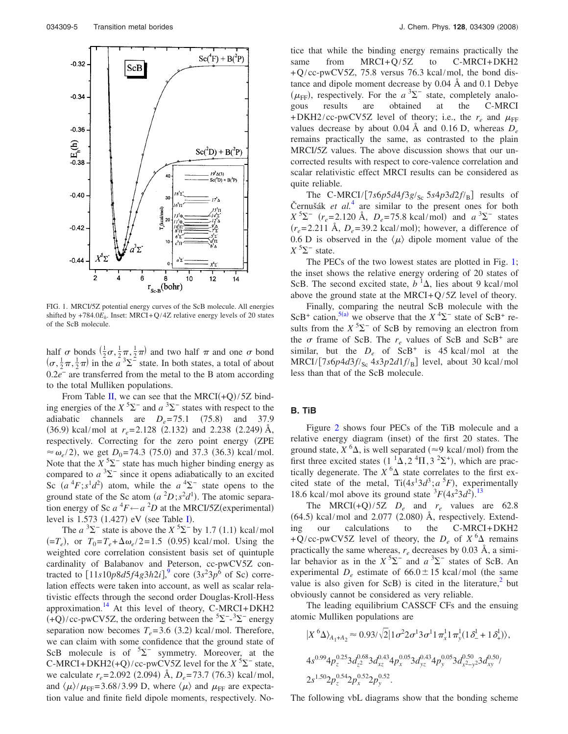<span id="page-4-0"></span>

FIG. 1. MRCI/5Z potential energy curves of the ScB molecule. All energies shifted by  $+784.0E_h$ . Inset: MRCI+Q/4Z relative energy levels of 20 states of the ScB molecule.

half  $\sigma$  bonds  $(\frac{1}{2}\sigma, \frac{1}{2}\pi, \frac{1}{2}\pi)$  and two half  $\pi$  and one  $\sigma$  bond  $(\sigma, \frac{1}{2}\pi, \frac{1}{2}\pi)$  in the  $\tilde{a}^3\Sigma^2$  state. In both states, a total of about 0.2*e*<sup>−</sup> are transferred from the metal to the B atom according to the total Mulliken populations.

From Table [II,](#page-2-0) we can see that the MRCI $(+Q)/5Z$  binding energies of the  $X^5\Sigma^-$  and  $a^3\Sigma^-$  states with respect to the adiabatic channels are  $D_e = 75.1$  (75.8) and 37.9  $(36.9)$  kcal/mol at  $r_e = 2.128$   $(2.132)$  and 2.238  $(2.249)$  Å, respectively. Correcting for the zero point energy (ZPE  $\approx \omega_e/2$ , we get *D*<sub>0</sub>=74.3 (75.0) and 37.3 (36.3) kcal/mol. Note that the  $X^5\Sigma^-$  state has much higher binding energy as compared to  $a^3\Sigma$ <sup>-</sup> since it opens adiabatically to an excited Sc  $(a^4F; s^1d^2)$  atom, while the  $a^4\Sigma^-$  state opens to the ground state of the Sc atom  $(a^2D; s^2d^1)$ . The atomic separation energy of Sc  $a^4F \leftarrow a^2D$  at the MRCI/5Z(experimental) level is  $1.573$   $(1.427)$  eV (see Table [I](#page-1-0)).

The  $a^3\Sigma^-$  state is above the  $X^5\Sigma^-$  by 1.7 (1.1) kcal/mol  $(=T_e)$ , or  $T_0 = T_e + \Delta \omega_e / 2 = 1.5$  (0.95) kcal/mol. Using the weighted core correlation consistent basis set of quintuple cardinality of Balabanov and Peterson, cc-pwCV5Z contracted to  $\left[11s10p8d5f4g3h2i\right]$ , core  $\left(3s^23p^6\right)$  of Sc) correlation effects were taken into account, as well as scalar relativistic effects through the second order Douglas-Kroll-Hess approximation.<sup>14</sup> At this level of theory,  $C-MRCI+DKH2$  $(+Q)/cc$ -pwCV5Z, the ordering between the <sup>5</sup> $\Sigma$ <sup>-</sup>-<sup>3</sup> $\Sigma$ <sup>-</sup> energy separation now becomes  $T_e = 3.6$  (3.2) kcal/mol. Therefore, we can claim with some confidence that the ground state of ScB molecule is of  $5\Sigma^-$  symmetry. Moreover, at the C-MRCI+DKH2(+Q)/cc-pwCV5Z level for the  $X^5\Sigma^-$  state, we calculate  $r_e$ =2.092 (2.094) Å,  $D_e$ =73.7 (76.3) kcal/mol, and  $\langle \mu \rangle / \mu_{\text{FF}}$ = 3.68/3.99 D, where  $\langle \mu \rangle$  and  $\mu_{\text{FF}}$  are expectation value and finite field dipole moments, respectively. Notice that while the binding energy remains practically the same from MRCI+Q/5Z to C-MRCI+DKH2  $+Q$ /cc-pwCV5Z, 75.8 versus 76.3 kcal/mol, the bond distance and dipole moment decrease by 0.04 Å and 0.1 Debye  $(\mu_{\text{FF}})$ , respectively. For the  $a^3\Sigma^-$  state, completely analogous results are obtained at the C-MRCI +DKH2/cc-pwCV5Z level of theory; i.e., the  $r_e$  and  $\mu_{FF}$ values decrease by about 0.04 Å and 0.16 D, whereas *De* remains practically the same, as contrasted to the plain MRCI/5Z values. The above discussion shows that our uncorrected results with respect to core-valence correlation and scalar relativistic effect MRCI results can be considered as quite reliable.

The C-MRCI/ $[7s6p5d4f3g/s_c 5s4p3d2f/s_l]$  results of Černušák *et al.*[4](#page-13-3) are similar to the present ones for both  $X^{5}\Sigma^{-}$  ( $r_e = 2.120$  Å,  $D_e = 75.8$  kcal/mol) and  $a^{3}\Sigma^{-}$  states  $(r_e=2.211 \text{ Å}, D_e=39.2 \text{ kcal/mol})$ ; however, a difference of 0.6 D is observed in the  $\langle \mu \rangle$  dipole moment value of the  $X^5\Sigma^-$  state.

The PECs of the two lowest states are plotted in Fig. [1;](#page-4-0) the inset shows the relative energy ordering of 20 states of ScB. The second excited state,  $b<sup>1</sup>\Delta$ , lies about 9 kcal/mol above the ground state at the MRCI+ $Q/5Z$  level of theory.

Finally, comparing the neutral ScB molecule with the ScB<sup>+</sup> cation,<sup>5(a)</sup> we observe that the  $X$ <sup>4</sup> $\Sigma$ <sup>-</sup> state of ScB<sup>+</sup> results from the  $X^5\Sigma^-$  of ScB by removing an electron from the  $\sigma$  frame of ScB. The  $r_e$  values of ScB and ScB<sup>+</sup> are similar, but the  $D_e$  of ScB<sup>+</sup> is 45 kcal/mol at the MRCI/7*s*6*p*4*d*3*f*/Sc 4*s*3*p*2*d*1*f*/B level, about 30 kcal/mol less than that of the ScB molecule.

#### **B. TiB**

Figure [2](#page-5-0) shows four PECs of the TiB molecule and a relative energy diagram (inset) of the first 20 states. The ground state,  $X^6\Delta$ , is well separated ( $\approx$ 9 kcal/mol) from the first three excited states  $(1^1\Delta, 2^4\Pi, 3^2\Sigma^+)$ , which are practically degenerate. The  $X^6\Delta$  state correlates to the first excited state of the metal,  $Ti(4s<sup>1</sup>3d<sup>3</sup>; a<sup>5</sup>F)$ , experimentally 18.6 kcal/mol above its ground state  ${}^{3}F(4s^{2}3d^{2})$ .<sup>[13](#page-13-12)</sup>

The MRCI(+Q)/5Z  $D_e$  and  $r_e$  values are 62.8  $(64.5)$  kcal/mol and 2.077  $(2.080)$  Å, respectively. Extending our calculations to the C-MRCI+DKH2 +Q/cc-pwCV5Z level of theory, the  $D_e$  of  $X^6\Delta$  remains practically the same whereas,  $r_e$  decreases by 0.03 Å, a similar behavior as in the  $X^5\Sigma^-$  and  $a^3\Sigma^-$  states of ScB. An experimental  $D_e$  estimate of  $66.0 \pm 15$  kcal/mol (the same value is also given for ScB) is cited in the literature, $2$  but obviously cannot be considered as very reliable.

The leading equilibrium CASSCF CFs and the ensuing atomic Mulliken populations are

$$
|X^6 \Delta \rangle_{A_1 + A_2} \approx 0.93/\sqrt{2} |1 \sigma^2 2 \sigma^1 3 \sigma^1 1 \pi_x^1 1 \pi_y^1 (1 \delta_-^1 + 1 \delta_+^1) \rangle,
$$
  
\n
$$
4s^{0.99} 4p_z^{0.25} 3d_{z^2}^{0.68} 3d_{xz}^{0.43} 4p_x^{0.05} 3d_{yz}^{0.43} 4p_y^{0.05} 3d_{x^2-y^2}^{0.50} 3d_{xy}^{0.50} /
$$
  
\n
$$
2s^{1.50} 2p_z^{0.54} 2p_x^{0.52} 2p_y^{0.52}.
$$

The following vbL diagrams show that the bonding scheme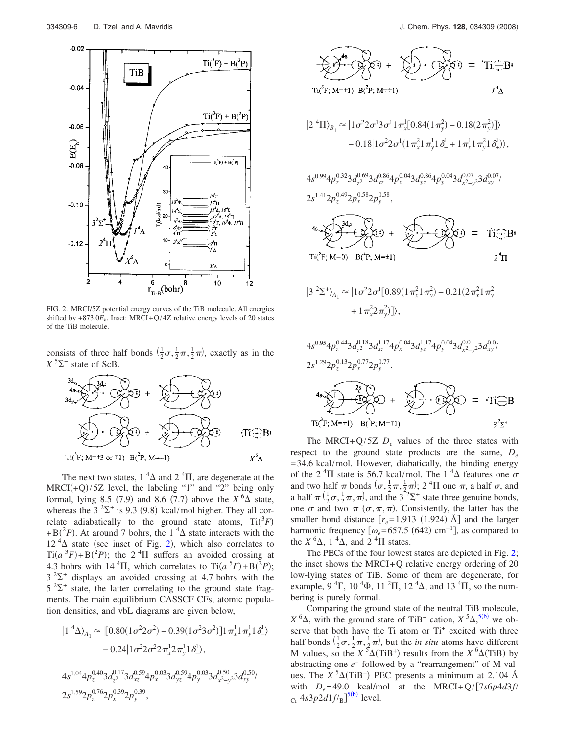<span id="page-5-0"></span>

FIG. 2. MRCI/5Z potential energy curves of the TiB molecule. All energies shifted by  $+873.0E_h$ . Inset: MRCI+Q/4Z relative energy levels of 20 states of the TiB molecule.

consists of three half bonds  $(\frac{1}{2}\sigma, \frac{1}{2}\pi, \frac{1}{2}\pi)$ , exactly as in the  $X^5\Sigma^-$  state of ScB.

$$
3d_{xy} \times 3d_{x}
$$
  
\n
$$
3d_{xy} \times 3d_{x}
$$
  
\n
$$
3d_{xy} \times 3d_{x}
$$
  
\n
$$
3d_{xy} \times 3d_{x}
$$
  
\n
$$
3d_{xy} \times 3d_{x}
$$
  
\n
$$
3d_{xy} \times 3d_{x}
$$
  
\n
$$
3d_{xy} \times 3d_{x}
$$
  
\n
$$
3d_{xy} \times 3d_{x}
$$
  
\n
$$
3d_{xy} \times 3d_{x}
$$
  
\n
$$
3d_{xy} \times 3d_{x}
$$
  
\n
$$
3d_{xy} \times 3d_{x}
$$
  
\n
$$
3d_{xy} \times 3d_{x}
$$
  
\n
$$
3d_{xy} \times 3d_{x}
$$
  
\n
$$
3d_{xy} \times 3d_{x}
$$
  
\n
$$
3d_{xy} \times 3d_{x}
$$
  
\n
$$
3d_{xy} \times 3d_{x}
$$
  
\n
$$
3d_{xy} \times 3d_{x}
$$
  
\n
$$
3d_{xy} \times 3d_{x}
$$
  
\n
$$
3d_{xy} \times 3d_{x}
$$
  
\n
$$
3d_{xy} \times 3d_{x}
$$
  
\n
$$
3d_{xy} \times 3d_{x}
$$
  
\n
$$
3d_{xy} \times 3d_{x}
$$
  
\n
$$
3d_{xy} \times 3d_{x}
$$
  
\n
$$
3d_{xy} \times 3d_{x}
$$
  
\n
$$
3d_{xy} \times 3d_{x}
$$
  
\n
$$
3d_{xy} \times 3d_{x}
$$
  
\n
$$
3d_{xy} \times 3d_{x}
$$
  
\n
$$
3d_{xy} \times 3d_{x}
$$
  
\n
$$
3d_{xy} \times 3d_{x}
$$
  
\n
$$
3d_{xy} \times 3d_{x}
$$
  
\n
$$
3d_{xy} \times 3d_{x}
$$
  
\n
$$
3d_{xy} \times 3d_{x}
$$
<

The next two states,  $1 \, {}^4\Delta$  and  $2 \, {}^4\Pi$ , are degenerate at the  $MRCI(+Q)/5Z$  level, the labeling "1" and "2" being only formal, lying 8.5 (7.9) and 8.6 (7.7) above the  $X^6\Delta$  state, whereas the  $3^{2}\Sigma^{+}$  is 9.3 (9.8) kcal/mol higher. They all correlate adiabatically to the ground state atoms,  $Ti(^3F)$  $+ B(^{2}P)$ . At around 7 bohrs, the 1<sup>4</sup> $\Delta$  state interacts with the  $12<sup>4</sup>\Delta$  $12<sup>4</sup>\Delta$  $12<sup>4</sup>\Delta$  state (see inset of Fig. 2), which also correlates to  $\text{Ti}(a^3F) + \text{B}(2P)$ ; the 2<sup>4</sup> $\Pi$  suffers an avoided crossing at 4.3 bohrs with 14<sup>4</sup>II, which correlates to  $\text{Ti}(a^5F) + \text{B}(^2P)$ ;  $3^2\Sigma^+$  displays an avoided crossing at 4.7 bohrs with the  $5^{2} \Sigma^{+}$  state, the latter correlating to the ground state fragments. The main equilibrium CASSCF CFs, atomic population densities, and vbL diagrams are given below,

$$
|1^{4}\Delta\rangle_{A_1} \approx |[0.80(1\sigma^2 2\sigma^2) - 0.39(1\sigma^2 3\sigma^2)]1 \pi_x^1 1 \pi_y^1 1 \delta_x^1 \rangle
$$
  
- 0.24 |1 $\sigma^2 2 \sigma^2 2 \pi_x^1 2 \pi_y^1 1 \delta_x^1 \rangle$ ,

$$
4s^{1.04}4p_z^{0.40}3d_{z^2}^{0.17}3d_{xz}^{0.59}4p_x^{0.03}3d_{yz}^{0.59}4p_y^{0.03}3d_{x^2-y^2}^{0.50}3d_{xy}^{0.50}/
$$
  

$$
2s^{1.59}2p_z^{0.76}2p_x^{0.39}2p_y^{0.39},
$$



$$
|2^{4}\Pi\rangle_{B_1} \approx |1\sigma^2 2\sigma^1 3\sigma^1 1\pi_x^1[0.84(1\pi_y^2) - 0.18(2\pi_y^2)]\rangle
$$
  
- 0.18|1 $\sigma^2 2\sigma^1(1\pi_x^2 1\pi_y^1 1\delta_{-}^1 + 1\pi_x^1 1\pi_y^2 1\delta_{+}^1)\rangle,$ 

$$
\begin{aligned} &4s^{0.99}4p_z^{0.32}3d_{z^2}^{0.69}3d_{xz}^{0.86}4p_x^{0.04}3d_{yz}^{0.86}4p_y^{0.04}3d_{x^2-y^2}^{0.07}3d_{xy}^{0.07}\rangle\\ &2s^{1.41}2p_z^{0.49}2p_x^{0.58}2p_y^{0.58}, \end{aligned}
$$

$$
4s \sqrt{3d_{2}} \sqrt{2} \sqrt{3d_{2}} + \sqrt{2} \sqrt{2} \sqrt{3d_{2}} = Ti \text{ B!}
$$
  
\n
$$
Ti(^{5}F; M=0) B(^{7}F; M=1)
$$

$$
|3^2\Sigma^+\rangle_{A_1} \approx |1\sigma^2 2\sigma^1 [0.89(1\pi_x^2 1\pi_y^2) - 0.21(2\pi_x^2 1\pi_y^2 + 1\pi_x^2 2\pi_y^2)]\rangle,
$$

$$
4s^{0.95}4p_{z}^{0.44}3d_{z^{2}}^{0.18}3d_{xz}^{1.17}4p_{x}^{0.04}3d_{yz}^{1.17}4p_{y}^{0.04}3d_{x^{2}-y^{2}}^{0.0}
$$
\n
$$
2s^{1.29}2p_{z}^{0.13}2p_{x}^{0.77}2p_{y}^{0.77}.
$$
\n
$$
4s\sqrt{2s^{2}}\sqrt{2s^{2}}\sqrt{2s^{2}}\sqrt{2s^{2}}\sqrt{2s^{2}}\sqrt{2s^{2}}\sqrt{2s^{2}}\sqrt{2s^{2}}\sqrt{2s^{2}}\sqrt{2s^{2}}\sqrt{2s^{2}}\sqrt{2s^{2}}\sqrt{2s^{2}}\sqrt{2s^{2}}\sqrt{2s^{2}}\sqrt{2s^{2}}\sqrt{2s^{2}}\sqrt{2s^{2}}\sqrt{2s^{2}}\sqrt{2s^{2}}\sqrt{2s^{2}}\sqrt{2s^{2}}\sqrt{2s^{2}}\sqrt{2s^{2}}\sqrt{2s^{2}}\sqrt{2s^{2}}\sqrt{2s^{2}}\sqrt{2s^{2}}\sqrt{2s^{2}}\sqrt{2s^{2}}\sqrt{2s^{2}}\sqrt{2s^{2}}\sqrt{2s^{2}}\sqrt{2s^{2}}\sqrt{2s^{2}}\sqrt{2s^{2}}\sqrt{2s^{2}}\sqrt{2s^{2}}\sqrt{2s^{2}}\sqrt{2s^{2}}\sqrt{2s^{2}}\sqrt{2s^{2}}\sqrt{2s^{2}}\sqrt{2s^{2}}\sqrt{2s^{2}}\sqrt{2s^{2}}\sqrt{2s^{2}}\sqrt{2s^{2}}\sqrt{2s^{2}}\sqrt{2s^{2}}\sqrt{2s^{2}}\sqrt{2s^{2}}\sqrt{2s^{2}}\sqrt{2s^{2}}\sqrt{2s^{2}}\sqrt{2s^{2}}\sqrt{2s^{2}}\sqrt{2s^{2}}\sqrt{2s^{2}}\sqrt{2s^{2}}\sqrt{2s^{2}}\sqrt{2s^{2}}\sqrt{2s^{2}}\sqrt{2s^{2}}\sqrt{2s^{2}}\sqrt{2s^{2}}\sqrt{2s^{2}}\sqrt{2s^{2}}\sqrt{2s^{2}}\sqrt{2s^{2}}\sqrt{2s^{2}}\sqrt{2s^{2}}\sqrt{2s^{2}}\sqrt{2s^{2}}\sqrt{2s^{2}}\sqrt{2s
$$

The MRCI+Q/5Z  $D_e$  values of the three states with respect to the ground state products are the same,  $D_e$ = 34.6 kcal/mol. However, diabatically, the binding energy of the 2<sup>4</sup>II state is 56.7 kcal/mol. The 1<sup>4</sup> $\Delta$  features one  $\sigma$ and two half  $\pi$  bonds  $(\sigma, \frac{1}{2}\pi, \frac{1}{2}\pi)$ ; 2<sup>4</sup>II one  $\pi$ , a half  $\sigma$ , and a half  $\pi(\frac{1}{2}\sigma, \frac{1}{2}\pi, \pi)$ , and the 3<sup>-2</sup> $\Sigma^+$  state three genuine bonds, one  $\sigma$  and two  $\pi$  ( $\sigma$ ,  $\pi$ ,  $\pi$ ). Consistently, the latter has the smaller bond distance  $[r_e=1.913 \ (1.924)$  Å] and the larger harmonic frequency  $\left[\omega_e = 657.5\right.$  (642) cm<sup>-1</sup>], as compared to the  $X^6\Delta$ , 1<sup>4</sup> $\Delta$ , and 2<sup>4</sup> $\Pi$  states.

The PECs of the four lowest states are depicted in Fig. [2;](#page-5-0) the inset shows the MRCI+Q relative energy ordering of 20 low-lying states of TiB. Some of them are degenerate, for example, 9<sup>4</sup>  $\Gamma$ , 10<sup>4</sup> $\Phi$ , 11<sup>2</sup> $\Pi$ , 12<sup>4</sup> $\Delta$ , and 13<sup>4</sup> $\Pi$ , so the numbering is purely formal.

Comparing the ground state of the neutral Ti[B mo](#page-13-14)lecule,  $X^6\Delta$ , with the ground state of TiB<sup>+</sup> cation,  $X^5\Delta$ , <sup>5</sup>(b)</sub> we observe that both have the Ti atom or  $Ti<sup>+</sup>$  excited with three half bonds  $(\frac{1}{2}\sigma, \frac{1}{2}\pi, \frac{1}{2}\pi)$ , but the *in situ* atoms have different M values, so the  $X^5\Delta(TiB^+)$  results from the  $X^6\Delta(TiB)$  by abstracting one *e*<sup>−</sup> followed by a "rearrangement" of M values. The  $X^5\Delta$ (TiB<sup>+</sup>) PEC presents a minimum at 2.104 Å with  $D_e = 49.0$  kcal/mol at the MRCI+Q/ $[7s6p4d3f]$  $_{\text{Cr}}$  4*s*3*p*2*d*1*f*/<sub>B</sub>]<sup>5(b)</sup> level.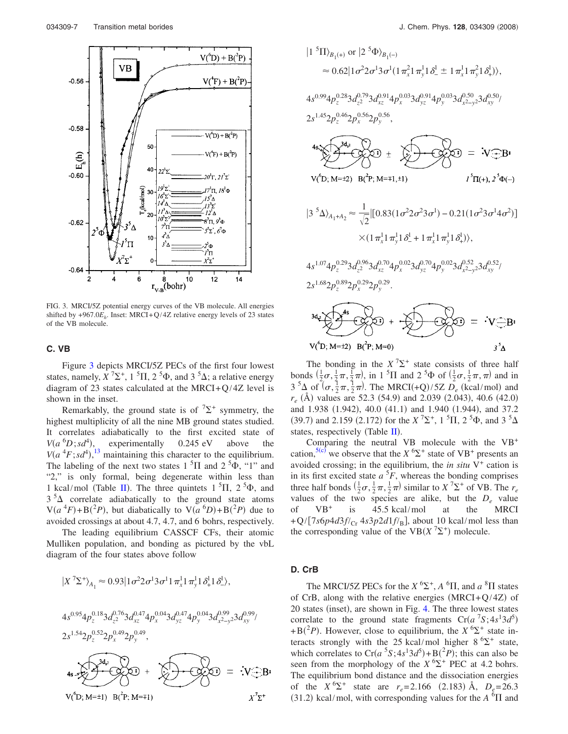<span id="page-6-0"></span>

FIG. 3. MRCI/5Z potential energy curves of the VB molecule. All energies shifted by  $+967.0E_h$ . Inset: MRCI+Q/4Z relative energy levels of 23 states of the VB molecule.

#### **C. VB**

Figure [3](#page-6-0) depicts MRCI/5Z PECs of the first four lowest states, namely,  $X^7\Sigma^+$ , 1<sup>5</sup>II, 2<sup>5</sup> $\Phi$ , and 3<sup>5</sup> $\Delta$ ; a relative energy diagram of 23 states calculated at the MRCI+ $Q$ /4Z level is shown in the inset.

Remarkably, the ground state is of  $\sqrt{2}^+$  symmetry, the highest multiplicity of all the nine MB ground states studied. It correlates adiabatically to the first excited state of  $V(a^{6}D; sd^{4})$ , experimentally 0.245 eV above the  $V(a<sup>4</sup>F; sd<sup>4</sup>)$ ,<sup>[13](#page-13-12)</sup> maintaining this character to the equilibrium. The labeling of the next two states  $1<sup>5</sup>\Pi$  and  $2<sup>5</sup>\Phi$ , "1" and "2," is only formal, being degenerate within less than 1 kcal/mol (Table [II](#page-2-0)). The three quintets  $1<sup>5</sup>$ II,  $2<sup>5</sup>$  $\Phi$ , and  $3<sup>5</sup>\Delta$  correlate adiabatically to the ground state atoms  $V(a^4F) + B(^2P)$ , but diabatically to  $V(a^6D) + B(^2P)$  due to avoided crossings at about 4.7, 4.7, and 6 bohrs, respectively.

The leading equilibrium CASSCF CFs, their atomic Mulliken population, and bonding as pictured by the vbL diagram of the four states above follow

$$
|X^7\Sigma^+\rangle_{A_1} \approx 0.93|1\sigma^2 2\sigma^1 3\sigma^1 1\pi_x^1 1\pi_y^1 1\delta_x^1 1\delta_x^1 \rangle,
$$
  
\n
$$
4s^{0.95}4p_z^{0.18}3d_z^{0.76}3d_{xz}^{0.47}4p_x^{0.04}3d_{yz}^{0.47}4p_y^{0.04}3d_{x^2-y^2}^{0.99}3d_{xy}^{0.99}/
$$
  
\n
$$
2s^{1.54}2p_z^{0.52}2p_x^{0.49}2p_y^{0.49},
$$
  
\n
$$
4s = \sum_{x \in \mathcal{X}} 3d_x \sum_{y \in \mathcal{Y}} 3p_x^{0.49}2p_y^{0.49},
$$
  
\n
$$
4s = \sum_{y \in \mathcal{Y}} 3d_x \sum_{y \in \mathcal{Y}} 3p_x^{0.49}2p_y^{0.49},
$$
  
\n
$$
4s = \sum_{y \in \mathcal{Y}} 3d_x \sum_{y \in \mathcal{Y}} 3p_x^{0.49}2p_y^{0.49},
$$
  
\n
$$
4s = \sum_{y \in \mathcal{Y}} 3d_x^{0.47}2p_y^{0.49}2p_y^{0.49},
$$
  
\n
$$
4s = \sum_{y \in \mathcal{Y}} 3d_x^{0.47}2p_x^{0.49}2p_y^{0.49},
$$
  
\n
$$
4s = \sum_{y \in \mathcal{Y}} 3d_x^{0.47}2p_x^{0.49}2p_y^{0.49}2p_y^{0.49},
$$

$$
|1^{5}\Pi\rangle_{B_{1}(+)} \text{ or } |2^{5}\Phi\rangle_{B_{1}(-)}
$$
  
\n
$$
\approx 0.62|1\sigma^{2}2\sigma^{1}3\sigma^{1}(1\pi_{x}^{2}1\pi_{y}^{1}1\delta_{-}^{1} \pm 1\pi_{x}^{1}1\pi_{y}^{2}1\delta_{+}^{1})\rangle,
$$
  
\n
$$
4s^{0.99}4p_{z}^{0.28}3d_{z}^{0.79}3d_{xz}^{0.91}4p_{x}^{0.03}3d_{yz}^{0.91}4p_{y}^{0.03}3d_{x^{2}-y^{2}}^{0.50}d_{xy}^{0.50}/
$$
  
\n
$$
2s^{1.45}2p_{z}^{0.46}2p_{x}^{0.56}2p_{y}^{0.56},
$$
  
\n
$$
4s^{3/2}2s^{2/3}2s^{2/3}2s^{2/3}2s^{2/3}2s^{2/3}2s^{2/3}2s^{2/3}2s^{2/3}2s^{2/3}2s^{2/3}2s^{2/3}2s^{2/3}2s^{2/3}2s^{2/3}2s^{2/3}2s^{2/3}2s^{2/3}2s^{2/3}2s^{2/3}2s^{2/3}2s^{2/3}2s^{2/3}2s^{2/3}2s^{2/3}2s^{2/3}2s^{2/3}2s^{2/3}2s^{2/3}2s^{2/3}2s^{2/3}2s^{2/3}2s^{2/3}2s^{2/3}2s^{2/3}2s^{2/3}2s^{2/3}2s^{2/3}2s^{2/3}2s^{2/3}2s^{2/3}2s^{2/3}2s^{2/3}2s^{2/3}2s^{2/3}2s^{2/3}2s^{2/3}2s^{2/3}2s^{2/3}2s^{2/3}2s^{2/3}2s^{2/3}2s^{2/3}2s^{2/3}2s^{2/3}2s^{2/3}2s^{2/3}2s^{2/3}2s^{2/3}2s^{2/3}2s^{2/3}2s^{2/3}2s^{2/3}2s^{2/3}2s^{
$$

The bonding in the  $X^7\Sigma^+$  state consists of three half bonds  $(\frac{1}{2}\sigma, \frac{1}{2}\pi, \frac{1}{2}\pi)$ , in 1<sup>5</sup>II and 2<sup>5</sup> $\Phi$  of  $(\frac{1}{2}\sigma, \frac{1}{2}\pi, \pi)$  and in  $3^{5}\Delta$  of  $(\sigma, \frac{1}{2}\pi, \frac{1}{2}\pi)$ . The MRCI(+Q)/5Z  $D_e$  (kcal/mol) and  $r_e$  (Å) values are 52.3 (54.9) and 2.039 (2.043), 40.6 (42.0) and 1.938 (1.942), 40.0 (41.1) and 1.940 (1.944), and 37.2 (39.7) and 2.159 (2.172) for the *X*<sup>7</sup> $\Sigma$ <sup>+</sup>, 1<sup>5</sup> $\Pi$ , 2<sup>5</sup> $\Phi$ , and 3<sup>5</sup> $\Delta$ states, respectively (Table  $II$ ).

Comparing the neutral VB molecule with the VB<sup>+</sup> cation,<sup>5(c)</sup> we observe that the  $X$ <sup>6</sup> $\Sigma$ <sup>+</sup> state of VB<sup>+</sup> presents an avoided crossing; in the equilibrium, the *in situ*  $V^+$  cation is in its first excited state  $a<sup>5</sup>F$ , whereas the bonding comprises three half bonds  $(\frac{1}{2}\sigma, \frac{1}{2}\pi, \frac{1}{2}\pi)$  similar to  $X^7\Sigma^+$  of VB. The  $r_e$ values of the two species are alike, but the  $D_e$  value<br>of  $VB^+$  is 45.5 kcal/mol at the MRCI 45.5 kcal/mol  $+Q/[7s6p4d3f/c<sub>r</sub> 4s3p2d1f/<sub>B</sub>]$ , about 10 kcal/mol less than the corresponding value of the VB $(X^7\Sigma^+)$  molecule.

#### **D. CrB**

The MRCI/5Z PECs for the  $X^6\Sigma^+$ ,  $A^6\Pi$ , and  $a^8\Pi$  states of CrB, along with the relative energies  $(MRCI+Q/4Z)$  of 20 states (inset), are shown in Fig. [4.](#page-7-0) The three lowest states correlate to the ground state fragments  $Cr(a^7S; 4s^13d^5)$ +B( $^{2}P$ ). However, close to equilibrium, the *X*<sup>6</sup> $\Sigma$ <sup>+</sup> state interacts strongly with the 25 kcal/mol higher  $8^{6} \Sigma^{+}$  state, which correlates to  $Cr(a^{5}S; 4s^{1}3d^{5}) + B(^{2}P)$ ; this can also be seen from the morphology of the  $X^{6\Sigma^{+}}$  PEC at 4.2 bohrs. The equilibrium bond distance and the dissociation energies of the  $X^6\Sigma^+$  state are  $r_e = 2.166$  (2.183) Å,  $D_e = 26.3$  $(31.2)$  kcal/mol, with corresponding values for the *A* <sup>6</sup> $\Pi$  and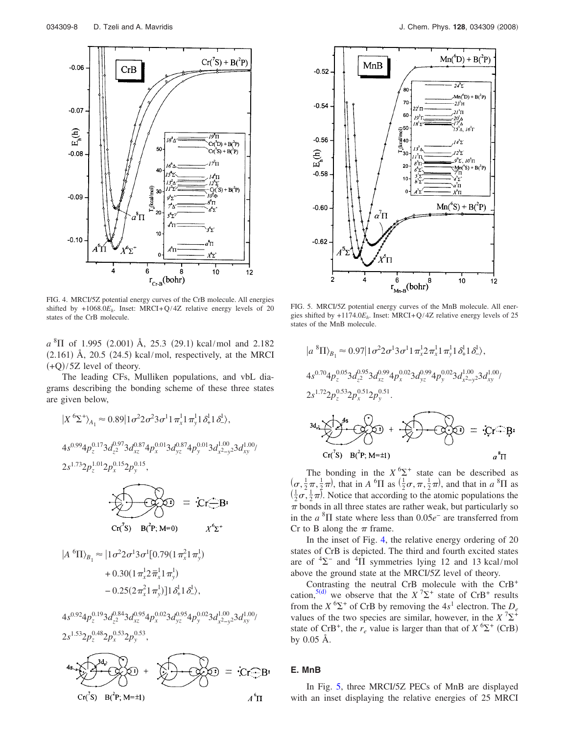<span id="page-7-0"></span>

FIG. 4. MRCI/5Z potential energy curves of the CrB molecule. All energies shifted by  $+1068.0E_h$ . Inset: MRCI+Q/4Z relative energy levels of 20 states of the CrB molecule.

 $a^{8}$  $\Pi$  of 1.995 (2.001) Å, 25.3 (29.1) kcal/mol and 2.182  $(2.161)$  Å,  $20.5$   $(24.5)$  kcal/mol, respectively, at the MRCI  $(+Q)/5Z$  level of theory.

The leading CFs, Mulliken populations, and vbL diagrams describing the bonding scheme of these three states are given below,

$$
|X^{6}\Sigma^{+}\rangle_{A_{1}} \approx 0.89|1\sigma^{2}2\sigma^{2}3\sigma^{1}1\pi_{x}^{1}1\pi_{y}^{1}1\delta_{+}^{1}1\delta_{-}^{1}\rangle,
$$
  
\n
$$
4s^{0.99}4p_{z}^{0.17}3d_{z}^{0.97}3d_{xz}^{0.87}4p_{x}^{0.01}3d_{yz}^{0.87}4p_{y}^{0.01}3d_{x^{2-y}2}^{1.00}3d_{xy}^{1.00}/
$$
  
\n
$$
2s^{1.73}2p_{z}^{1.01}2p_{x}^{0.15}2p_{y}^{0.15},
$$
  
\n
$$
\underbrace{\sqrt{1}}_{\text{Cr}(3)} \underbrace{\mathbf{B}(\mathbf{\hat{P}}; \mathbf{M}=0)}_{\text{Cr}(5)} = \begin{cases} \mathbf{\hat{C}r}_{\text{cm}}^{\text{cm}}\mathbf{B}\mathbf{\hat{P}}\\ \mathbf{\hat{S}}\\ \mathbf{\hat{S}}\\ \mathbf{\hat{S}}\\ \mathbf{\hat{S}}\\ \mathbf{\hat{S}}\\ \mathbf{\hat{S}}\\ \mathbf{\hat{S}}\\ \mathbf{\hat{S}}\\ \mathbf{\hat{S}}\\ \mathbf{\hat{S}}\\ \mathbf{\hat{S}}\\ \mathbf{\hat{S}}\\ \mathbf{\hat{S}}\\ \mathbf{\hat{S}}\\ \mathbf{\hat{S}}\\ \mathbf{\hat{S}}\\ \mathbf{\hat{S}}\\ \mathbf{\hat{S}}\\ \mathbf{\hat{S}}\\ \mathbf{\hat{S}}\\ \mathbf{\hat{S}}\\ \mathbf{\hat{S}}\\ \mathbf{\hat{S}}\\ \mathbf{\hat{S}}\\ \mathbf{\hat{S}}\\ \mathbf{\hat{S}}\\ \mathbf{\hat{S}}\\ \mathbf{\hat{S}}\\ \mathbf{\hat{S}}\\ \mathbf{\hat{S}}\\ \mathbf{\hat{S}}\\ \mathbf{\hat{S}}\\ \mathbf{\hat{S}}\\ \mathbf{\hat{S}}\\ \mathbf{\hat{S}}\\ \mathbf{\hat{S}}\\ \mathbf{\hat{S}}\\ \mathbf{\hat{S}}\\ \mathbf{\hat{S}}\\ \mathbf{\hat{S}}\\ \mathbf{\hat{S}}\\ \mathbf{\hat{S}}\\ \mathbf{\hat{S}}\\ \mathbf{\hat{S}}\\ \mathbf{\hat{S}}\\ \mathbf{\hat{S}}
$$

<span id="page-7-1"></span>

FIG. 5. MRCI/5Z potential energy curves of the MnB molecule. All energies shifted by  $+1174.0E_h$ . Inset: MRCI+Q/4Z relative energy levels of 25 states of the MnB molecule.

$$
|a^{8}\Pi\rangle_{B_1} \approx 0.97|1\sigma^2 2\sigma^1 3\sigma^1 1\pi_x^1 2\pi_x^1 1\pi_y^1 1\delta_x^1 1\delta_x^1,
$$
  
\n
$$
4s^{0.70}4p_z^{0.05}3d_{z^2}^{0.95}3d_{xz}^{0.99}4p_x^{0.02}3d_{yz}^{0.99}4p_y^{0.02}3d_{x^2-y}^{1.00}3d_{xy}^{1.00}/
$$
  
\n
$$
2s^{1.72}2p_z^{0.53}2p_x^{0.51}2p_y^{0.51}.
$$
  
\n
$$
3d_a \sum_{r \in \mathcal{C}} s^{8s} \sum_{r \in \mathcal{C}} s^{8s} \longrightarrow 0 \qquad \text{for} \qquad s \qquad \text{for} \qquad \text{and} \qquad a^{8}\Pi
$$

The bonding in the  $X^{6}\Sigma^{+}$  state can be described as  $(\sigma, \frac{1}{2}\pi, \frac{1}{2}\pi)$ , that in *A* <sup>6</sup> $\Pi$  as  $(\frac{1}{2}\sigma, \pi, \frac{1}{2}\pi)$ , and that in *a* <sup>8</sup> $\Pi$  as  $(\frac{1}{2}\sigma, \frac{1}{2}\pi)$ . Notice that according to the atomic populations the  $\pi$  bonds in all three states are rather weak, but particularly so in the  $a$ <sup>8</sup> $\Pi$  state where less than 0.05 $e^-$  are transferred from Cr to B along the  $\pi$  frame.

In the inset of Fig. [4,](#page-7-0) the relative energy ordering of 20 states of CrB is depicted. The third and fourth excited states are of  ${}^{4}\Sigma^{-}$  and  ${}^{4}\Pi$  symmetries lying 12 and 13 kcal/mol above the ground state at the MRCI/5Z level of theory.

Contrasting the neutral CrB molecule with the CrB<sup>+</sup> cation,<sup>5(d)</sup> we observe that the  $X^7\Sigma^+$  state of CrB<sup>+</sup> results from the  $X^6\Sigma^+$  of CrB by removing the  $4s^1$  electron. The  $D_e$ values of the two species are similar, however, in the  $X^7\Sigma^+$ state of CrB<sup>+</sup>, the  $r_e$  value is larger than that of  $X^6\Sigma^+$  (CrB) by 0.05 Å.

#### **E. MnB**

In Fig. [5,](#page-7-1) three MRCI/5Z PECs of MnB are displayed with an inset displaying the relative energies of 25 MRCI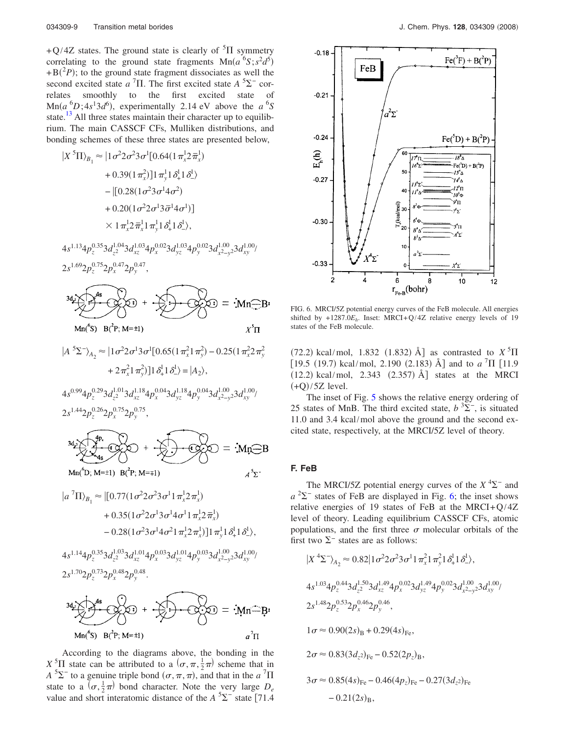+Q/4Z states. The ground state is clearly of  ${}^{5}$ II symmetry correlating to the ground state fragments  $Mn(a^6S; s^2d^5)$  $+ B(^2P)$ ; to the ground state fragment dissociates as well the second excited state  $a^7\Pi$ . The first excited state  $A^5\Sigma^-$  correlates smoothly to the first excited state of  $\text{Mn}(a^6D; 4s^13d^6)$ , experimentally 2.14 eV above the  $a^6S$ state.<sup>[13](#page-13-12)</sup> All three states maintain their character up to equilibrium. The main CASSCF CFs, Mulliken distributions, and bonding schemes of these three states are presented below,

$$
|X^{5}\Pi\rangle_{B_1} \approx |1\sigma^2 2\sigma^2 3\sigma^1 [0.64(1\pi_x^1 2\pi_x^1) + 0.39(1\pi_x^2)]1\pi_y^1 1\delta_x^1 1\delta_x^1) - |[0.28(1\sigma^2 3\sigma^1 4\sigma^2) + 0.20(1\sigma^2 2\sigma^1 3\bar{\sigma}^1 4\sigma^1)] \times 1\pi_x^1 2\pi_x^1 1\pi_y^1 1\delta_x^1 1\delta_x^1), 4s^{1.13}4p_z^{0.35}3d_z^{1.04}3d_{xz}^{1.03}4p_x^{0.02}3d_{yz}^{1.03}4p_y^{0.02}3d_{x^2-y}^{1.00}2d_{xy}^{1.00} 2s^{1.69}2p_z^{0.75}2p_x^{0.47}2p_y^{0.47},
$$



 $\left| A^{5} \Sigma^{-} \right\rangle_{A_2} \approx \left| 1 \sigma^2 2 \sigma^1 3 \sigma^1 [0.65 (1 \pi_x^2 1 \pi_y^2) - 0.25 (1 \pi_x^2 2 \pi_y^2) \right|$ +  $2\pi_x^2 1\pi_y^2$ ]  $1\delta_+^1 1\delta_-^1$  =  $|A_2\rangle$ ,

$$
\begin{aligned} &4s^{0.99}4p_z^{0.29}3d_{z^2}^{1.01}3d_{xz}^{1.18}4p_x^{0.04}3d_{yz}^{1.18}4p_y^{0.04}3d_{x^2-y^2}^{1.00}3d_{xy}^{1.00}\\ &2s^{1.44}2p_z^{0.26}2p_x^{0.75}2p_y^{0.75}, \end{aligned}
$$

$$
3d_2 \times 4s
$$
  
\n
$$
3d_3 \times 4s
$$
  
\n
$$
4s
$$
  
\n
$$
3d_1 \times 4s
$$
  
\n
$$
4s
$$
  
\n
$$
4s
$$
  
\n
$$
3d_1 \times 4s
$$
  
\n
$$
4s
$$
  
\n
$$
3d_2 \times 4s
$$
  
\n
$$
4s
$$
  
\n
$$
3d_1 \times 4s
$$

$$
|a^{7}\Pi\rangle_{B_1} \approx |[0.77(1\sigma^2 2\sigma^2 3\sigma^1 1\pi_x^1 2\pi_x^1) + 0.35(1\sigma^2 2\sigma^1 3\sigma^1 4\sigma^1 1\pi_x^1 2\pi_x^1) - 0.28(1\sigma^2 3\sigma^1 4\sigma^2 1\pi_x^1 2\pi_x^1)]1\pi_y^1 1\delta_x^1 1\delta_x^1,
$$
  
\n
$$
+ 4s^{1.14}4p_z^{0.35}3d_{z^2}^{1.03}3d_{xz}^{1.01}4p_x^{0.03}3d_{yz}^{1.01}4p_y^{0.03}3d_{x^2-y^2}^{1.00}3d_{xy}^{1.00}/
$$
  
\n
$$
2s^{1.70}2p_z^{0.73}2p_x^{0.48}2p_y^{0.48}.
$$
  
\n
$$
3d_z \leftarrow
$$
  
\n
$$
3d_z \leftarrow
$$
  
\n
$$
3d_z \leftarrow
$$
  
\n
$$
3d_z \leftarrow
$$
  
\n
$$
3d_z \leftarrow
$$
  
\n
$$
3d_z \leftarrow
$$
  
\n
$$
3d_z \leftarrow
$$
  
\n
$$
3d_z \leftarrow
$$
  
\n
$$
3d_z \leftarrow
$$
  
\n
$$
3d_z \leftarrow
$$
  
\n
$$
3d_z \leftarrow
$$
  
\n
$$
3d_z \leftarrow
$$
  
\n
$$
3d_z \leftarrow
$$
  
\n
$$
3d_z \leftarrow
$$
  
\n
$$
3d_z \leftarrow
$$
  
\n
$$
3d_z \leftarrow
$$
  
\n
$$
3d_z \leftarrow
$$
  
\n
$$
3d_z \leftarrow
$$
  
\n
$$
3d_z \leftarrow
$$
  
\n
$$
3d_z \leftarrow
$$
  
\n
$$
3d_z \leftarrow
$$
  
\n
$$
3d_z \leftarrow
$$
  
\n
$$
3d_z \leftarrow
$$
  
\n
$$
3d_z \leftarrow
$$
  
\n<math display="block</math>

According to the diagrams above, the bonding in the  $X \sim \frac{5}{11}$  state can be attributed to a  $(\sigma, \pi, \frac{1}{2}\pi)$  scheme that in  $A^{5}\Sigma^{-}$  to a genuine triple bond  $(\sigma, \pi, \pi)$ , and that in the *a*<sup>7</sup> $\Pi$ state to a  $(\sigma, \frac{1}{2}\pi)$  bond character. Note the very large  $D_e$ value and short interatomic distance of the  $A^{5\Sigma^{-}}$  state [71.4

<span id="page-8-0"></span>

FIG. 6. MRCI/5Z potential energy curves of the FeB molecule. All energies shifted by  $+1287.0E_h$ . Inset: MRCI+Q/4Z relative energy levels of 19 states of the FeB molecule.

 $(72.2)$  kcal/mol, 1.832  $(1.832)$  Å] as contrasted to  $X^5\Pi$ [19.5 (19.7) kcal/mol, 2.190 (2.183) Å] and to  $a^{7}\Pi$  [11.9]  $(12.2)$  kcal/mol, 2.343  $(2.357)$  Å] states at the MRCI  $(+Q)/5Z$  level.

The inset of Fig. [5](#page-7-1) shows the relative energy ordering of 25 states of MnB. The third excited state,  $b<sup>3</sup>\Sigma$ <sup>-</sup>, is situated 11.0 and 3.4 kcal/mol above the ground and the second excited state, respectively, at the MRCI/5Z level of theory.

#### **F. FeB**

The MRCI/5Z potential energy curves of the  $X<sup>4</sup>\Sigma^{-}$  and  $a<sup>2</sup>\Sigma$ <sup>-</sup> states of FeB are displayed in Fig. [6;](#page-8-0) the inset shows relative energies of 19 states of FeB at the MRCI+Q/4Z level of theory. Leading equilibrium CASSCF CFs, atomic populations, and the first three  $\sigma$  molecular orbitals of the first two  $\Sigma^-$  states are as follows:

$$
|X^{4}\Sigma^{-}\rangle_{A_{2}} \approx 0.82|1\sigma^{2}2\sigma^{2}3\sigma^{1}1\pi_{x}^{2}1\pi_{y}^{2}1\delta_{+}^{1}1\delta_{-}^{1}\rangle,
$$
  
\n
$$
4s^{1.03}4p_{z}^{0.44}3d_{z}^{1.50}3d_{xz}^{1.49}4p_{x}^{0.02}3d_{yz}^{1.49}4p_{y}^{0.02}3d_{x}^{1.00}y^{2}3d_{xy}^{1.00}/
$$
  
\n
$$
2s^{1.48}2p_{z}^{0.53}2p_{x}^{0.46}2p_{y}^{0.46},
$$
  
\n
$$
1\sigma \approx 0.90(2s)_{B} + 0.29(4s)_{Fe},
$$
  
\n
$$
2\sigma \approx 0.83(3d_{z}2)_{Fe} - 0.52(2p_{z})_{B},
$$
  
\n
$$
3\sigma \approx 0.85(4s)_{Fe} - 0.46(4p_{z})_{Fe} - 0.27(3d_{z}2)_{Fe}
$$
  
\n
$$
- 0.21(2s)_{B},
$$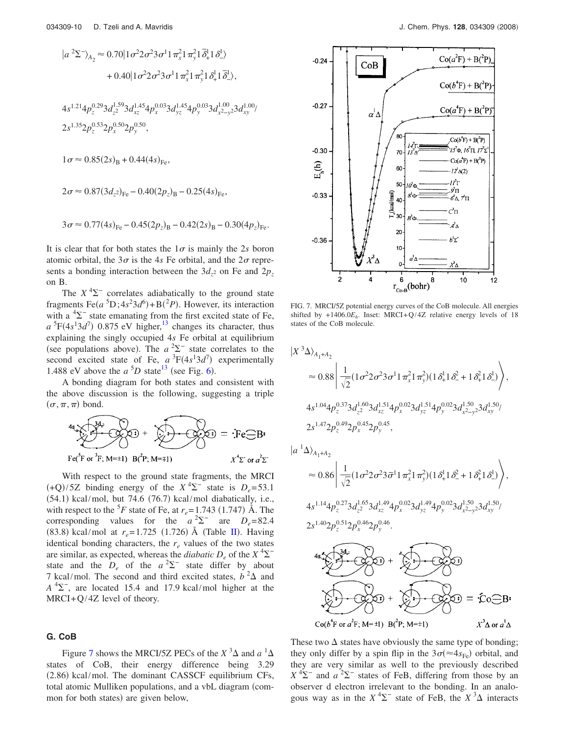$$
|a^2\Sigma^-\rangle_{A_2} \approx 0.70|1\sigma^2 2\sigma^2 3\sigma^1 1\pi_x^2 1\pi_y^2 1\bar{\delta}_+^1 1\delta_-^1\rangle
$$
  
+ 0.40|1\sigma^2 2\sigma^2 3\sigma^1 1\pi\_x^2 1\pi\_y^2 1\delta\_+^1 1\bar{\delta}\_-^1\rangle,  
4s^{1.21}4p\_z^{0.29}3d\_{z^2}^{1.59}3d\_{xz}^{1.45}4p\_x^{0.03}3d\_{yz}^{1.45}4p\_y^{0.03}3d\_{x^2-y^2}^{1.00}3d\_{xy}^{1.00}/  

$$
2s^{1.35}2p_z^{0.53}2p_x^{0.50}2p_y^{0.50},
$$
  

$$
1\sigma \approx 0.85(2s)_B + 0.44(4s)_{Fe},
$$
  

$$
2\sigma \approx 0.87(3d_{z^2})_{Fe} - 0.40(2p_z)_B - 0.25(4s)_{Fe},
$$
  

$$
3\sigma \approx 0.77(4s)_{Fe} - 0.45(2p_z)_B - 0.42(2s)_B - 0.30(4p_z)_{Fe}.
$$

It is clear that for both states the  $1\sigma$  is mainly the 2*s* boron atomic orbital, the  $3\sigma$  is the 4*s* Fe orbital, and the  $2\sigma$  represents a bonding interaction between the  $3d_{z^2}$  on Fe and  $2p_z$ on B.

The  $X<sup>4</sup>\Sigma$ <sup>-</sup> correlates adiabatically to the ground state fragments  $\text{Fe}(a^5D; 4s^23d^6) + B(^2P)$ . However, its interaction with a  ${}^{4}\Sigma^{-}$  state emanating from the first excited state of Fe,  $a^{5}F(4s^{1}3d^{7})$  0.875 eV higher,<sup>13</sup> changes its character, thus explaining the singly occupied 4*s* Fe orbital at equilibrium (see populations above). The  $a^2\Sigma^-$  state correlates to the second excited state of Fe,  $a^3F(4s^13d^7)$  experimentally 1.488 eV above the  $a^{5}D$  state<sup>13</sup> (see Fig. [6](#page-8-0)).

A bonding diagram for both states and consistent with the above discussion is the following, suggesting a triple  $(\sigma, \pi, \pi)$  bond.

$$
4s \times 342
$$
  
Fe<sup>342</sup> or <sup>342</sup> B<sup>2</sup> +  $\sqrt{2}$  C<sup>3</sup> = :Fe<sup>-</sup>B<sup>3</sup>  
Fe<sup>3</sup>F or <sup>3</sup>F; M=±1) B(<sup>2</sup>P; M=±1)

With respect to the ground state fragments, the MRCI  $(+Q)/5Z$  binding energy of the  $X^4\Sigma^-$  state is  $D_e = 53.1$  $(54.1)$  kcal/mol, but 74.6  $(76.7)$  kcal/mol diabatically, i.e., with respect to the <sup>5</sup>*F* state of Fe, at  $r_e = 1.743$  (1.747) Å. The corresponding values for the  $a^2\Sigma^-$  are  $D_e = 82.4$ (83.8) kcal/mol at  $r_e = 1.725$  (1.726) Å (Table [II](#page-2-0)). Having identical bonding characters, the  $r_e$  values of the two states are similar, as expected, whereas the *diabatic*  $D_e$  of the  $X^4\Sigma^$ state and the  $D_e$  of the  $a^2\Sigma^-$  state differ by about 7 kcal/mol. The second and third excited states,  $b^2\Delta$  and  $A<sup>4</sup>\Sigma$ <sup>-</sup>, are located 15.4 and 17.9 kcal/mol higher at the  $MRCI+Q/4Z$  level of theory.

# **G. CoB**

Figure [7](#page-9-0) shows the MRCI/5Z PECs of the  $X$ <sup>3</sup> $\Delta$  and  $a$ <sup>1</sup> $\Delta$ states of CoB, their energy difference being 3.29 (2.86) kcal/mol. The dominant CASSCF equilibrium CFs, total atomic Mulliken populations, and a vbL diagram (common for both states) are given below,

<span id="page-9-0"></span>

FIG. 7. MRCI/5Z potential energy curves of the CoB molecule. All energies shifted by  $+1406.0E_h$ . Inset: MRCI+Q/4Z relative energy levels of 18 states of the CoB molecule.

$$
\begin{split} \left|X^{3}\Delta\right\rangle_{A_{1}+A_{2}}\\ \approx& 0.88\left|\frac{1}{\sqrt{2}}(1\sigma^{2}2\sigma^{2}3\sigma^{1}1\pi_{x}^{2}1\pi_{y}^{2})(1\delta_{+}^{1}1\delta_{-}^{2}+1\delta_{+}^{2}1\delta_{-}^{1})\right\rangle,\\ 4s^{1.04}4p_{z}^{0.37}3d_{z}^{1.60}3d_{xz}^{1.51}4p_{x}^{0.02}3d_{yz}^{1.51}4p_{y}^{0.02}3d_{x^{2}-y^{2}}^{1.50}d_{xy}^{1.50}/\\ 2s^{1.47}2p_{z}^{0.49}2p_{x}^{0.45}2p_{y}^{0.45}, \end{split}
$$

*a*

$$
\begin{aligned}\n^{1}\Delta\rangle_{A_{1}+A_{2}} \\
&\approx 0.86 \left| \frac{1}{\sqrt{2}} (1 \sigma^{2} 2 \sigma^{2} 3 \bar{\sigma}^{1} 1 \pi_{x}^{2} 1 \pi_{y}^{2}) (1 \delta_{+}^{1} 1 \delta_{-}^{2} + 1 \delta_{+}^{2} 1 \delta_{-}^{1}) \right\rangle, \\
4s^{1.14} 4p_{z}^{0.27} 3d_{z}^{1.65} 3d_{xz}^{1.49} 4p_{x}^{0.02} 3d_{yz}^{1.49} 4p_{y}^{0.02} 3d_{x}^{1.50} 3d_{xz}^{1.50} \\
2s^{1.40} 2p_{z}^{0.51} 2p_{x}^{0.46} 2p_{y}^{0.46}.\n\end{aligned}
$$
\n
$$
\begin{aligned}\n4s \sqrt{3d_{x}^{2}} \\
\sqrt{3d_{x}^{2}} \\
\sqrt{3d_{y}^{2}} \\
\sqrt{3d_{y}^{2}} \\
\sqrt{3d_{y}^{2}} \\
\sqrt{3d_{y}^{2}} \\
\sqrt{3d_{z}^{2}} \\
\sqrt{3d_{z}^{2}} \\
\sqrt{3d_{z}^{2}} \\
\sqrt{3d_{z}^{2}} \\
\sqrt{3d_{z}^{2}} \\
\sqrt{3d_{z}^{2}} \\
\sqrt{3d_{z}^{2}} \\
\sqrt{3d_{z}^{2}} \\
\sqrt{3d_{z}^{2}} \\
\sqrt{3d_{z}^{2}} \\
\sqrt{3d_{z}^{2}} \\
\sqrt{3d_{z}^{2}} \\
\sqrt{3d_{z}^{2}} \\
\sqrt{3d_{z}^{2}} \\
\sqrt{3d_{z}^{2}} \\
\sqrt{3d_{z}^{2}} \\
\sqrt{3d_{z}^{2}} \\
\sqrt{3d_{z}^{2}} \\
\sqrt{3d_{z}^{2}} \\
\sqrt{3d_{z}^{2}} \\
\sqrt{3d_{z}^{2}} \\
\sqrt{3d_{z}^{2}} \\
\sqrt{3d_{z}^{2}} \\
\sqrt{3d_{z}^{2}} \\
\sqrt{3d_{z}^{2}} \\
\sqrt{3d_{z}^{2}} \\
\sqrt{3d_{z}^{2}} \\
\sqrt{3d_{z}^{2}} \\
\sqrt{3d_{z}^{2}} \\
\sqrt{3d_{z}^{2}} \\
\sqrt{3d_{z}^{2}} \\
\sqrt{3d_{z}^{
$$

These two  $\Delta$  states have obviously the same type of bonding; they only differ by a spin flip in the  $3\sigma (\approx 4s_{\text{Fe}})$  orbital, and they are very similar as well to the previously described  $X^{4}\Sigma^{-}$  and  $a^{2}\Sigma^{-}$  states of FeB, differing from those by an observer d electron irrelevant to the bonding. In an analogous way as in the  $X^4\Sigma^-$  state of FeB, the  $X^3\Delta$  interacts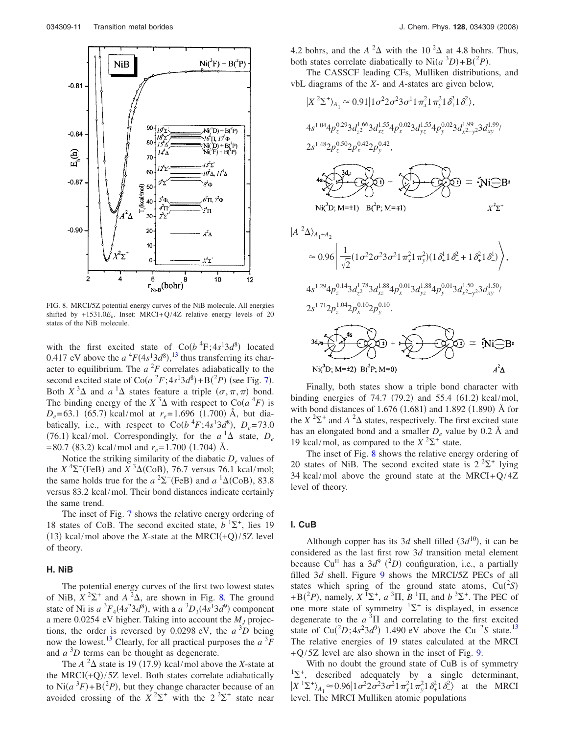<span id="page-10-0"></span>

FIG. 8. MRCI/5Z potential energy curves of the NiB molecule. All energies shifted by  $+1531.0E_h$ . Inset: MRCI+Q/4Z relative energy levels of 20 states of the NiB molecule.

with the first excited state of  $\text{Co}(b^4\text{F};4s^13d^8)$  located 0.417 eV above the  $a^{4}F(4s^{1}3d^{8})$ ,  $^{13}$  $^{13}$  $^{13}$  thus transferring its character to equilibrium. The  $a<sup>2</sup>F$  correlates adiabatically to the second excited state of  $\text{Co}(a^2F; 4s^13d^8) + \text{B}(2P)$  (see Fig. [7](#page-9-0)). Both  $X^3\Delta$  and  $a^1\Delta$  states feature a triple  $(\sigma, \pi, \pi)$  bond. The binding energy of the  $X^3\Delta$  with respect to  $\text{Co}(a^4F)$  is  $D_e$ = 63.1 (65.7) kcal/mol at  $r_e$ = 1.696 (1.700) Å, but diabatically, i.e., with respect to  $\text{Co}(b^4F; 4s^13d^8)$ ,  $D_e = 73.0$ (76.1) kcal/mol. Correspondingly, for the  $a^1\Delta$  state,  $D_e$  $= 80.7$  (83.2) kcal/mol and  $r_e = 1.700$  (1.704) Å.

Notice the striking similarity of the diabatic  $D_e$  values of the  $X^4\Sigma$ <sup>-</sup>(FeB) and  $X^3\Delta$ (CoB), 76.7 versus 76.1 kcal/mol; the same holds true for the  $a^2\Sigma^-(\text{FeB})$  and  $a^1\Delta(\text{CoB})$ , 83.8 versus 83.2 kcal/mol. Their bond distances indicate certainly the same trend.

The inset of Fig. [7](#page-9-0) shows the relative energy ordering of 18 states of CoB. The second excited state,  $b<sup>1</sup>Σ<sup>+</sup>$ , lies 19  $(13)$  kcal/mol above the *X*-state at the MRCI $(+Q)/5Z$  level of theory.

#### **H. NiB**

The potential energy curves of the first two lowest states of NiB,  $X^2\Sigma^+$  and  $A^2\Delta$ , are shown in Fig. [8.](#page-10-0) The ground state of Ni is  $a^3F_4(4s^23d^8)$ , with a  $a^3D_3(4s^13d^9)$  component a mere 0.0254 eV higher. Taking into account the  $M<sub>I</sub>$  projections, the order is reversed by 0.0298 eV, the  $a^3D$  being now the lowest.<sup>13</sup> Clearly, for all practical purposes the  $a^3F$ and  $a^3D$  terms can be thought as degenerate.

The  $A^2\Delta$  state is 19 (17.9) kcal/mol above the *X*-state at the MRCI $(+Q)/5Z$  level. Both states correlate adiabatically to  $\text{Ni}(a^3F) + \text{B}(^2P)$ , but they change character because of an avoided crossing of the  $X^2\Sigma^+$  with the  $2^2\Sigma^+$  state near 4.2 bohrs, and the  $A^2\Delta$  with the 10<sup>2</sup> $\Delta$  at 4.8 bohrs. Thus, both states correlate diabatically to  $\text{Ni}(a^3D) + \text{B}(^2P)$ .

The CASSCF leading CFs, Mulliken distributions, and vbL diagrams of the *X*- and *A*-states are given below,

$$
|X^{2}\Sigma^{+}\rangle_{A_{1}} \approx 0.91|1\sigma^{2}2\sigma^{2}3\sigma^{1}1\pi_{x}^{2}1\pi_{y}^{2}1\delta_{x}^{2}1\delta_{z}^{2}\rangle,
$$
  
\n
$$
4s^{1.04}4p_{z}^{0.29}3d_{z}^{1.66}3d_{xz}^{1.55}4p_{x}^{0.02}3d_{yz}^{1.55}4p_{y}^{0.02}3d_{x}^{1.99}23d_{xy}^{1.99}/
$$
  
\n
$$
2s^{1.48}2p_{z}^{0.50}2p_{x}^{0.42}2p_{y}^{0.42},
$$
  
\n
$$
4s^{1.42}2p_{z}^{0.50}2p_{x}^{0.42}2p_{y}^{0.42},
$$
  
\n
$$
4s^{1.44}2p_{z}^{1.44}2
$$
  
\n
$$
\approx 0.96\left|\frac{1}{\sqrt{2}}(1\sigma^{2}2\sigma^{2}3\sigma^{2}1\pi_{x}^{2}1\pi_{y}^{2})(1\delta_{x}^{1}1\delta_{x}^{2}+1\delta_{x}^{2}1\delta_{x}^{1})\right\rangle,
$$
  
\n
$$
4s^{1.29}4p_{z}^{0.14}3d_{z}^{1.78}3d_{xz}^{1.88}4p_{x}^{0.01}3d_{yz}^{1.88}4p_{y}^{0.01}3d_{x}^{1.50}23d_{xy}^{1.50}/
$$
  
\n
$$
2s^{1.71}2p_{z}^{1.04}2p_{x}^{0.10}2p_{y}^{0.10}.
$$
  
\n
$$
3d_{x}2\sqrt{4s^{1.48}}
$$
  
\n
$$
3d_{x}3\sqrt{4s^{1.48}}
$$
  
\n
$$
3d_{x}3\sqrt{2s^{1.48}} = 8(3s^{1.48})
$$
  
\n
$$
8s^{1.48}2s^{1.48} = 8(3s^{1.48})
$$
  
\n
$$
8s^{1.48}2s^{1.
$$

Finally, both states show a triple bond character with binding energies of  $74.7$  (79.2) and  $55.4$  (61.2) kcal/mol, with bond distances of  $1.676(1.681)$  and  $1.892(1.890)$  Å for the  $X^2\Sigma^+$  and  $A^2\Delta$  states, respectively. The first excited state has an elongated bond and a smaller  $D_e$  value by 0.2 Å and 19 kcal/mol, as compared to the  $X^2\Sigma^+$  state.

The inset of Fig. [8](#page-10-0) shows the relative energy ordering of 20 states of NiB. The second excited state is  $2^2\Sigma^+$  lying 34 kcal/mol above the ground state at the MRCI+ $Q$ /4Z level of theory.

## **I. CuB**

Although copper has its 3*d* shell filled  $(3d^{10})$ , it can be considered as the last first row 3*d* transition metal element because Cu<sup>II</sup> has a  $3d^9$  (<sup>2</sup>D) configuration, i.e., a partially filled 3*d* shell. Figure [9](#page-11-0) shows the MRCI/5Z PECs of all states which spring of the ground state atoms,  $Cu(^2S)$ +B( ${}^{2}P$ ), namely,  $X \, {}^{1}\Sigma^{+}$ ,  $a \, {}^{3}\Pi$ ,  $B \, {}^{1}\Pi$ , and  $b \, {}^{3}\Sigma^{+}$ . The PEC of one more state of symmetry  ${}^{1}\Sigma^{+}$  is displayed, in essence degenerate to the  $a<sup>3</sup>$ II and correlating to the first excited state of  $Cu(^{2}D; 4s^{2}3d^{9})$  1.490 eV above the Cu <sup>2</sup>S state.<sup>13</sup> The relative energies of 19 states calculated at the MRCI  $+Q/5Z$  level are also shown in the inset of Fig. [9.](#page-11-0)

With no doubt the ground state of CuB is of symmetry  ${}^{1}\Sigma^{+}$ , described adequately by a single determinant,  $|X^{1}\Sigma^{+}\rangle_{A_1} \approx 0.96 |1\sigma^{2}2\sigma^{2}3\sigma^{2}1\pi_{x}^{2}1\pi_{y}^{2}1\delta_{+}^{2}1\delta_{-}^{2}\rangle$  at the MRCI level. The MRCI Mulliken atomic populations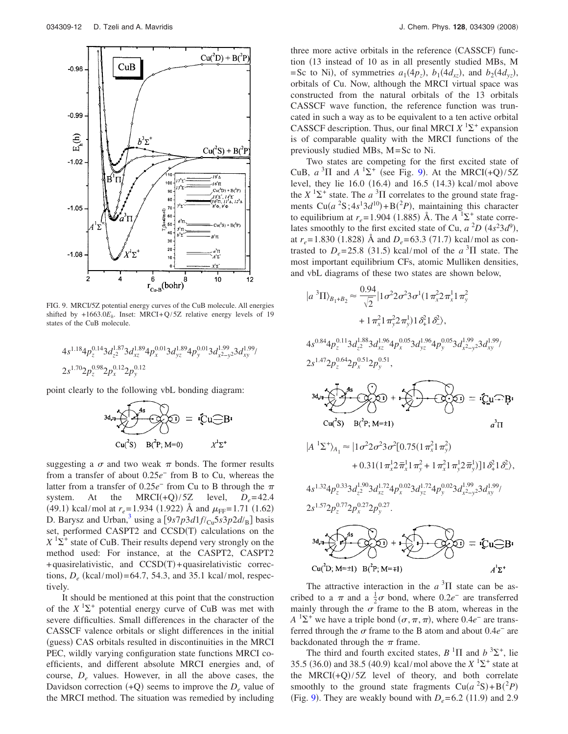<span id="page-11-0"></span>

FIG. 9. MRCI/5Z potential energy curves of the CuB molecule. All energies shifted by  $+1663.0E_h$ . Inset: MRCI+Q/5Z relative energy levels of 19 states of the CuB molecule.

$$
\begin{array}{l} \displaystyle 4 s^{1.18} 4 p_z^{0.14} 3 d_{z^2}^{1.87} 3 d_{xz}^{1.89} 4 p_x^{0.01} 3 d_{yz}^{1.89} 4 p_y^{0.01} 3 d_{x^2-y^2}^{1.99} 3 d_{xy}^{1.99} / \\ \displaystyle 2 s^{1.70} 2 p_z^{0.98} 2 p_x^{0.12} 2 p_y^{0.12} \end{array}
$$

point clearly to the following vbL bonding diagram:

$$
3d_{21} \overbrace{\smash{\bigoplus_{\mathsf{Cu}(3)}}^{\mathsf{4s}} B_{\mathsf{Cu}}(\mathsf{CJ})}^{\mathsf{4s}} = \mathsf{i} \mathsf{Cu} \overbrace{\smash{\bigoplus_{\mathsf{Cu}(3)}}^{\mathsf{R}} B_{\mathsf{Cu}}^{\mathsf{C}}}
$$

suggesting a  $\sigma$  and two weak  $\pi$  bonds. The former results from a transfer of about 0.25*e*<sup>−</sup> from B to Cu, whereas the latter from a transfer of 0.25*e*<sup>−</sup> from Cu to B through the system. At the MRCI(+Q)/5Z level,  $D_e = 42.4$ (49.1) kcal/mol at  $r_e = 1.934$  (1.922) Å and  $\mu$ <sub>FF</sub>= 1.71 (1.62) D. Barysz and Urban,<sup>3</sup> using a  $[9s7p3d1f/c<sub>u</sub>5s3p2d/<sub>B</sub>]$  basis set, performed CASPT2 and CCSD(T) calculations on the  $X$ <sup>1</sup> $\Sigma$ <sup>+</sup> state of CuB. Their results depend very strongly on the method used: For instance, at the CASPT2, CASPT2  $+$  quasirelativistic, and  $CCSD(T) +$  quasirelativistic corrections,  $D_e$  (kcal/mol)=64.7, 54.3, and 35.1 kcal/mol, respectively.

It should be mentioned at this point that the construction of the  $X^1\Sigma^+$  potential energy curve of CuB was met with severe difficulties. Small differences in the character of the CASSCF valence orbitals or slight differences in the initial (guess) CAS orbitals resulted in discontinuities in the MRCI PEC, wildly varying configuration state functions MRCI coefficients, and different absolute MRCI energies and, of course, *De* values. However, in all the above cases, the Davidson correction  $(+Q)$  seems to improve the  $D_e$  value of the MRCI method. The situation was remedied by including

three more active orbitals in the reference (CASSCF) function 13 instead of 10 as in all presently studied MBs, M = Sc to Ni), of symmetries  $a_1(4p_z)$ ,  $b_1(4d_{xz})$ , and  $b_2(4d_{yz})$ , orbitals of Cu. Now, although the MRCI virtual space was constructed from the natural orbitals of the 13 orbitals CASSCF wave function, the reference function was truncated in such a way as to be equivalent to a ten active orbital CASSCF description. Thus, our final MRCI  $X$ <sup>1</sup> $\Sigma$ <sup>+</sup> expansion is of comparable quality with the MRCI functions of the previously studied MBs, M=Sc to Ni.

Two states are competing for the first excited state of CuB,  $a^3\Pi$  and  $A^1\Sigma^+$  (see Fig. [9](#page-11-0)). At the MRCI(+Q)/5Z level, they lie  $16.0$   $(16.4)$  and  $16.5$   $(14.3)$  kcal/mol above the  $X$ <sup>1</sup> $\Sigma$ <sup>+</sup> state. The *a*<sup>3</sup> $\Pi$  correlates to the ground state fragments  $Cu(a<sup>2</sup>S; 4s<sup>1</sup>3d<sup>10</sup>) + B(<sup>2</sup>P)$ , maintaining this character to equilibrium at  $r_e$ =1.904 (1.885) Å. The  $A^{-1}\Sigma^+$  state correlates smoothly to the first excited state of Cu,  $a^2D(4s^23d^9)$ , at  $r_e$ =1.830 (1.828) Å and  $D_e$ =63.3 (71.7) kcal/mol as contrasted to  $D_e = 25.8$  (31.5) kcal/mol of the *a*<sup>3</sup> $\Pi$  state. The most important equilibrium CFs, atomic Mulliken densities, and vbL diagrams of these two states are shown below,

$$
|a^{3}\Pi\rangle_{B_{1}+B_{2}} \approx \frac{0.94}{\sqrt{2}} |1\sigma^{2}2\sigma^{2}3\sigma^{1}(1\pi_{x}^{2}2\pi_{x}^{1}1\pi_{y}^{2}
$$
  
+  $1\pi_{x}^{2}1\pi_{y}^{2}2\pi_{y}^{1})1\delta_{x}^{2}1\delta_{y}^{2}$ ,  
 $4s^{0.84}4p_{z}^{0.11}3d_{z}^{1.88}3d_{xz}^{1.96}4p_{x}^{0.05}3d_{yz}^{1.96}4p_{y}^{0.05}3d_{x^{2}-y^{2}}^{1.99}3d_{xy}^{1.99}$   
 $2s^{1.47}2p_{z}^{0.64}2p_{x}^{0.51}2p_{y}^{0.51}$ ,

$$
3d_{21} + 3d_{32} = 2(2u - 8)
$$
  
\n
$$
Cu(^{2}S) = B(^{2}P; M=1)
$$

$$
|A^{1}\Sigma^{+}\rangle_{A_{1}} \approx |1\sigma^{2}2\sigma^{2}3\sigma^{2}[0.75(1\pi_{x}^{2}1\pi_{y}^{2})
$$
  
+ 0.31(1\pi\_{x}^{1}2\pi\_{x}^{1}1\pi\_{y}^{2} + 1\pi\_{x}^{2}1\pi\_{y}^{1}2\pi\_{y}^{1})]1\delta\_{+}^{2}1\delta\_{-}^{2}\rangle,  
4s<sup>1.32</sup>4p\_{z}^{0.33}3d\_{z}^{1.90}3d\_{xz}^{1.72}4p\_{x}^{0.02}3d\_{yz}^{1.72}4p\_{y}^{0.02}3d\_{x^{2}-y^{2}}^{1.99}3d\_{xy}^{1.99}/  
2s<sup>1.57</sup>2p\_{z}^{0.77}2p\_{x}^{0.27}2p\_{y}^{0.27}.

$$
3d_{21} + 3d_{22} = 6d_{21} - 6d_{22} = 6d_{21} - 6d_{22} = 6d_{21} - 6d_{22} = 6d_{21} - 6d_{22} = 6d_{21} - 6d_{22} = 6d_{21} - 6d_{22} = 6d_{21} - 6d_{22} = 6d_{21} - 6d_{22} = 6d_{21} - 6d_{22} = 6d_{21} - 6d_{22} = 6d_{21} - 6d_{22} = 6d_{21} - 6d_{22} = 6d_{21} - 6d_{22} = 6d_{21} - 6d_{22} = 6d_{21} - 6d_{22} = 6d_{21} - 6d_{22} = 6d_{21} - 6d_{22} = 6d_{21} - 6d_{22} = 6d_{21} - 6d_{22} = 6d_{21} - 6d_{22} = 6d_{21} - 6d_{22} = 6d_{21} - 6d_{22} = 6d_{21} - 6d_{22} = 6d_{22} - 6d_{22} = 6d_{22} - 6d_{22} = 6d_{21} - 6d_{22} = 6d_{22} - 6d_{22} = 6d_{22} - 6d_{22} = 6d_{21} - 6d_{22} = 6d_{22} - 6d_{22} = 6d_{21} - 6d_{22} = 6d_{22} - 6d_{22} = 6d_{21} - 6d_{22} = 6d_{22} - 6d_{22} = 6d_{21} - 6d_{22} = 6d_{22} - 6d_{22} = 6d_{22} - 6d_{22} = 6d_{22} - 6d_{22} = 6d_{22} - 6d_{22} = 6d_{22} - 6d_{22} = 6d_{22} - 6d_{22} = 6d_{22} - 6d_{22} = 6d_{22} - 6d_{22} = 6d_{22} - 6d_{22} = 6d_{22} - 6d_{22} = 6d_{22} - 6d_{22} = 6d_{22} -
$$

The attractive interaction in the  $a<sup>3</sup>\Pi$  state can be ascribed to a  $\pi$  and a  $\frac{1}{2}\sigma$  bond, where 0.2*e*<sup>-</sup> are transferred mainly through the  $\sigma$  frame to the B atom, whereas in the  $A<sup>1</sup>\Sigma^{+}$  we have a triple bond  $(\sigma, \pi, \pi)$ , where 0.4*e*<sup>-</sup> are transferred through the  $\sigma$  frame to the B atom and about  $0.4e^-$  are backdonated through the  $\pi$  frame.

The third and fourth excited states,  $B$ <sup>1</sup> $\Pi$  and  $b$ <sup>3</sup> $\Sigma$ <sup>+</sup>, lie 35.5 (36.0) and 38.5 (40.9) kcal/mol above the  $X^{1}\Sigma^{+}$  state at the  $MRCI(+Q)/5Z$  level of theory, and both correlate smoothly to the ground state fragments  $Cu(a^2S) + B(^2P)$ (Fig. [9](#page-11-0)). They are weakly bound with  $D_e = 6.2$  (11.9) and 2.9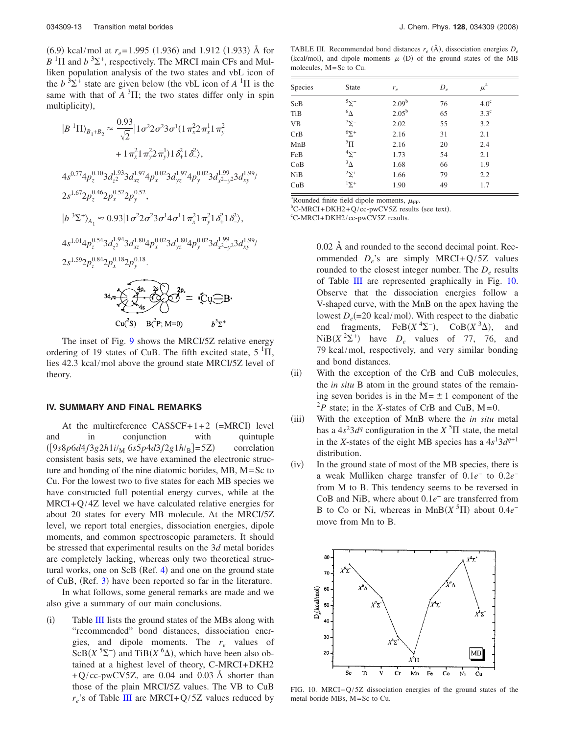$(6.9)$  kcal/mol at  $r_e = 1.995$  (1.936) and 1.912 (1.933) Å for  $B$ <sup>1</sup> $\Pi$  and  $b$ <sup>3</sup> $\Sigma^+$ , respectively. The MRCI main CFs and Mulliken population analysis of the two states and vbL icon of the  $b^3\Sigma^+$  state are given below (the vbL icon of  $A^1\Pi$  is the same with that of  $A<sup>3</sup>\Pi$ ; the two states differ only in spin multiplicity),

$$
|B^{1} \Pi\rangle_{B_{1}+B_{2}} \approx \frac{0.93}{\sqrt{2}} |1 \sigma^{2} 2 \sigma^{2} 3 \sigma^{1} (1 \pi_{x}^{2} 2 \bar{\pi}_{x}^{1} 1 \pi_{y}^{2} + 1 \pi_{x}^{2} 1 \pi_{y}^{2} 2 \bar{\pi}_{y}^{1}) 1 \delta_{x}^{2} 1 \delta_{z}^{2}\rangle,
$$
  
\n
$$
4s^{0.77} 4p_{z}^{0.10} 3d_{z}^{1.93} 3d_{xz}^{1.97} 4p_{x}^{0.02} 3d_{yz}^{1.97} 4p_{y}^{0.02} 3d_{x}^{1.99} 3d_{x}^{1.99} / 2s^{1.67} 2p_{z}^{0.46} 2p_{x}^{0.52} 2p_{y}^{0.52},
$$
  
\n
$$
|b^{3} \Sigma^{+}\rangle_{A_{1}} \approx 0.93 |1 \sigma^{2} 2 \sigma^{2} 3 \sigma^{1} 4 \sigma^{1} 1 \pi_{x}^{2} 1 \pi_{y}^{2} 1 \delta_{x}^{2} 1 \delta_{z}^{2}\rangle,
$$
  
\n
$$
4s^{1.01} 4p_{z}^{0.54} 3d_{z}^{1.94} 3d_{xz}^{1.80} 4p_{x}^{0.02} 3d_{yz}^{1.80} 4p_{y}^{0.02} 3d_{x}^{1.99} 3d_{x}^{1.99} / 2s^{1.59} 2p_{z}^{0.84} 2p_{x}^{0.18} 2p_{y}^{0.18}.
$$
  
\n
$$
3d_{z} \sqrt{\frac{4p_{z}}{2g}} 3p_{z}^{2} \sqrt{\frac{2p_{z}}{2g}} = \sqrt{C} \sqrt{-B}.
$$
  
\n
$$
C u_{z}^{2} S \sqrt{B_{z}^{2} N_{y}} 16^{2} P_{y}^{2} M_{z} = \sqrt{C} \sqrt{-B}.
$$

The inset of Fig. [9](#page-11-0) shows the MRCI/5Z relative energy ordering of 19 states of CuB. The fifth excited state,  $5<sup>1</sup>\Pi$ , lies 42.3 kcal/mol above the ground state MRCI/5Z level of theory.

#### **IV. SUMMARY AND FINAL REMARKS**

At the multireference  $CASSCF+1+2$  (=MRCI) level and in conjunction with quintuple  $(9s8p6d4f3g2h1i/M6s5p4d3f2g1h/B=5Z)$  correlation consistent basis sets, we have examined the electronic structure and bonding of the nine diatomic borides, MB, M=Sc to Cu. For the lowest two to five states for each MB species we have constructed full potential energy curves, while at the MRCI+Q/4Z level we have calculated relative energies for about 20 states for every MB molecule. At the MRCI/5Z level, we report total energies, dissociation energies, dipole moments, and common spectroscopic parameters. It should be stressed that experimental results on the 3*d* metal borides are completely lacking, whereas only two theoretical struc-tural works, one on ScB (Ref. [4](#page-13-3)) and one on the ground state of CuB, (Ref. [3](#page-13-2)) have been reported so far in the literature.

In what follows, some general remarks are made and we also give a summary of our main conclusions.

 $(i)$ Table [III](#page-12-0) lists the ground states of the MBs along with "recommended" bond distances, dissociation energies, and dipole moments. The *re* values of  $ScB(X^{5}\Sigma^{-})$  and TiB $(X^{6}\Delta)$ , which have been also obtained at a highest level of theory, C-MRCI+DKH2  $+Q$ /cc-pwCV5Z, are 0.04 and 0.03 Å shorter than those of the plain MRCI/5Z values. The VB to CuB  $r_e$ 's of Table [III](#page-12-0) are MRCI+Q/5Z values reduced by

<span id="page-12-0"></span>TABLE III. Recommended bond distances  $r_e$  ( $\AA$ ), dissociation energies  $D_e$ (kcal/mol), and dipole moments  $\mu$  (D) of the ground states of the MB molecules, M=Sc to Cu.

| Species    | <b>State</b>       | $r_e$      | $D_e$ | $\mu^{\rm a}$    |
|------------|--------------------|------------|-------|------------------|
| ScB        | $5\Sigma^-$        | $2.09^{b}$ | 76    | 4.0 <sup>c</sup> |
| TiB        | $^6\Delta$         | $2.05^{b}$ | 65    | $3.3^{\circ}$    |
| <b>VB</b>  | $7\Sigma^-$        | 2.02       | 55    | 3.2              |
| CrB        | $6\Sigma^+$        | 2.16       | 31    | 2.1              |
| MnB        | $\rm ^5H$          | 2.16       | 20    | 2.4              |
| FeB        | $\frac{4}{2}$      | 1.73       | 54    | 2.1              |
| CoB        | $\frac{3}{\Delta}$ | 1.68       | 66    | 1.9              |
| <b>NiB</b> | $^2\Sigma^+$       | 1.66       | 79    | 2.2              |
| CuB        | $\overline{2}^+$   | 1.90       | 49    | 1.7              |
|            |                    |            |       |                  |

<sup>a</sup>Rounded finite field dipole moments,  $\mu_{\text{FF}}$ .

<sup>b</sup>C-MRCI+DKH2+Q/cc-pwCV5Z results (see text).

C-MRCI+DKH2/cc-pwCV5Z results.

0.02 Å and rounded to the second decimal point. Recommended *De*'s are simply MRCI+Q/5Z values rounded to the closest integer number. The  $D_e$  results of Table [III](#page-12-0) are represented graphically in Fig. [10.](#page-12-1) Observe that the dissociation energies follow a V-shaped curve, with the MnB on the apex having the lowest  $D_e$ (=20 kcal/mol). With respect to the diabatic end fragments, FeB $(X^4\Sigma^-)$ , CoB $(X^3\Delta)$ , and  $NiB(X^2\Sigma^+)$  have  $D_e$  values of 77, 76, and 79 kcal/mol, respectively, and very similar bonding and bond distances.

- $(ii)$  With the exception of the CrB and CuB molecules, the *in situ* B atom in the ground states of the remaining seven borides is in the  $M = \pm 1$  component of the  $^{2}P$  state; in the *X*-states of CrB and CuB, M=0.
- $(iii)$  With the exception of MnB where the *in situ* metal has a  $4s^2 3d^q$  configuration in the  $X^5\Pi$  state, the metal in the *X*-states of the eight MB species has a  $4s<sup>1</sup>3d<sup>q+1</sup>$ distribution.
- $(iv)$  In the ground state of most of the MB species, there is a weak Mulliken charge transfer of 0.1*e*<sup>−</sup> to 0.2*e*<sup>−</sup> from M to B. This tendency seems to be reversed in CoB and NiB, where about 0.1*e*<sup>−</sup> are transferred from B to Co or Ni, whereas in  $MnB(X^5\Pi)$  about  $0.4e^$ move from Mn to B.

<span id="page-12-1"></span>

FIG. 10. MRCI+Q/5Z dissociation energies of the ground states of the metal boride MBs, M=Sc to Cu.